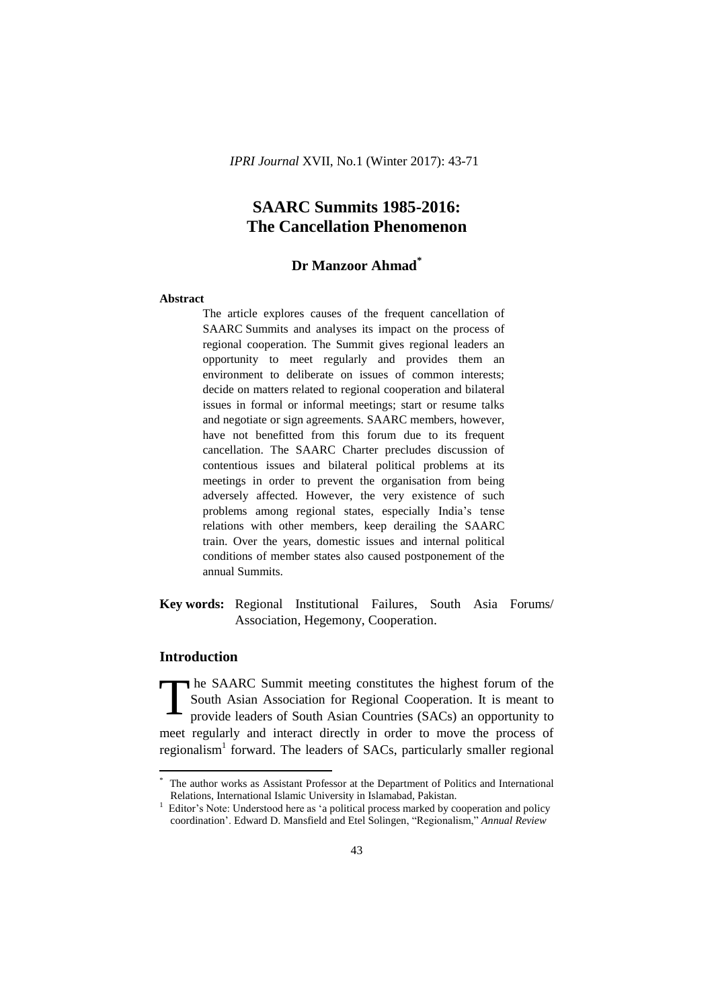# **Dr Manzoor Ahmad\***

## **Abstract**

The article explores causes of the frequent cancellation of SAARC Summits and analyses its impact on the process of regional cooperation. The Summit gives regional leaders an opportunity to meet regularly and provides them an environment to deliberate on issues of common interests; decide on matters related to regional cooperation and bilateral issues in formal or informal meetings; start or resume talks and negotiate or sign agreements. SAARC members, however, have not benefitted from this forum due to its frequent cancellation. The SAARC Charter precludes discussion of contentious issues and bilateral political problems at its meetings in order to prevent the organisation from being adversely affected. However, the very existence of such problems among regional states, especially India"s tense relations with other members, keep derailing the SAARC train. Over the years, domestic issues and internal political conditions of member states also caused postponement of the annual Summits.

# **Key words:** Regional Institutional Failures, South Asia Forums/ Association, Hegemony, Cooperation.

## **Introduction**

**.** 

The SAARC Summit meeting constitutes the highest forum of the South Asian Association for Regional Cooperation. It is meant to provide leaders of South Asian Countries (SACs) an opportunity to meet regularly and interact directly in order to move the process of regionalism<sup>1</sup> forward. The leaders of SACs, particularly smaller regional T

The author works as Assistant Professor at the Department of Politics and International Relations, International Islamic University in Islamabad, Pakistan.

<sup>&</sup>lt;sup>1</sup> Editor's Note: Understood here as 'a political process marked by cooperation and policy coordination". Edward D. Mansfield and Etel Solingen, "Regionalism," *Annual Review*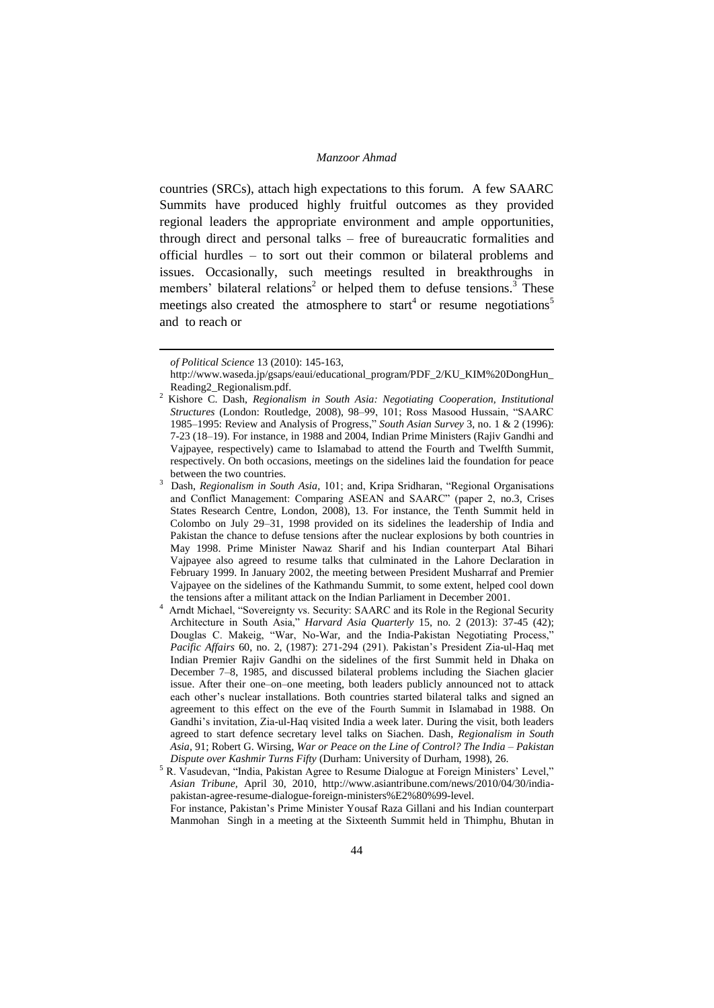countries (SRCs), attach high expectations to this forum. A few SAARC Summits have produced highly fruitful outcomes as they provided regional leaders the appropriate environment and ample opportunities, through direct and personal talks – free of bureaucratic formalities and official hurdles – to sort out their common or bilateral problems and issues. Occasionally, such meetings resulted in breakthroughs in members' bilateral relations<sup>2</sup> or helped them to defuse tensions.<sup>3</sup> These meetings also created the atmosphere to start<sup>4</sup> or resume negotiations<sup>5</sup> and to reach or

-

Manmohan Singh in a meeting at the Sixteenth Summit held in Thimphu, Bhutan in

*of Political Science* 13 (2010): 145-163,

http://www.waseda.jp/gsaps/eaui/educational\_program/PDF\_2/KU\_KIM%20DongHun\_ Reading2\_Regionalism.pdf.

<sup>2</sup> Kishore C. Dash, *Regionalism in South Asia: Negotiating Cooperation, Institutional Structures* (London: Routledge, 2008), 98–99, 101; Ross Masood Hussain, "SAARC 1985–1995: Review and Analysis of Progress," *South Asian Survey* 3, no. 1 & 2 (1996): 7-23 (18–19). For instance, in 1988 and 2004, Indian Prime Ministers (Rajiv Gandhi and Vajpayee, respectively) came to Islamabad to attend the Fourth and Twelfth Summit, respectively. On both occasions, meetings on the sidelines laid the foundation for peace between the two countries.

<sup>3</sup> Dash, *Regionalism in South Asia,* 101; and, Kripa Sridharan, "Regional Organisations and Conflict Management: Comparing ASEAN and SAARC" (paper 2, no.3, Crises States Research Centre, London, 2008), 13. For instance, the Tenth Summit held in Colombo on July 29–31, 1998 provided on its sidelines the leadership of India and Pakistan the chance to defuse tensions after the nuclear explosions by both countries in May 1998. Prime Minister Nawaz Sharif and his Indian counterpart Atal Bihari Vajpayee also agreed to resume talks that culminated in the Lahore Declaration in February 1999. In January 2002, the meeting between President Musharraf and Premier Vajpayee on the sidelines of the Kathmandu Summit, to some extent, helped cool down the tensions after a militant attack on the Indian Parliament in December 2001.

<sup>&</sup>lt;sup>4</sup> Arndt Michael, "Sovereignty vs. Security: SAARC and its Role in the Regional Security Architecture in South Asia," *Harvard Asia Quarterly* 15, no. 2 (2013): 37-45 (42); Douglas C. Makeig, "War, No-War, and the India-Pakistan Negotiating Process," *Pacific Affairs* 60, no. 2, (1987): 271-294 (291). Pakistan"s President Zia-ul-Haq met Indian Premier Rajiv Gandhi on the sidelines of the first Summit held in Dhaka on December 7–8, 1985, and discussed bilateral problems including the Siachen glacier issue. After their one–on–one meeting, both leaders publicly announced not to attack each other"s nuclear installations. Both countries started bilateral talks and signed an agreement to this effect on the eve of the Fourth Summit in Islamabad in 1988. On Gandhi"s invitation, Zia-ul-Haq visited India a week later. During the visit, both leaders agreed to start defence secretary level talks on Siachen. Dash, *Regionalism in South Asia,* 91; Robert G. Wirsing, *War or Peace on the Line of Control? The India – Pakistan Dispute over Kashmir Turns Fifty* (Durham: University of Durham, 1998), 26.

<sup>&</sup>lt;sup>5</sup> R. Vasudevan, "India, Pakistan Agree to Resume Dialogue at Foreign Ministers' Level," *Asian Tribune,* April 30, 2010, http://www.asiantribune.com/news/2010/04/30/indiapakistan-agree-resume-dialogue-foreign-ministers%E2%80%99-level. For instance, Pakistan"s Prime Minister Yousaf Raza Gillani and his Indian counterpart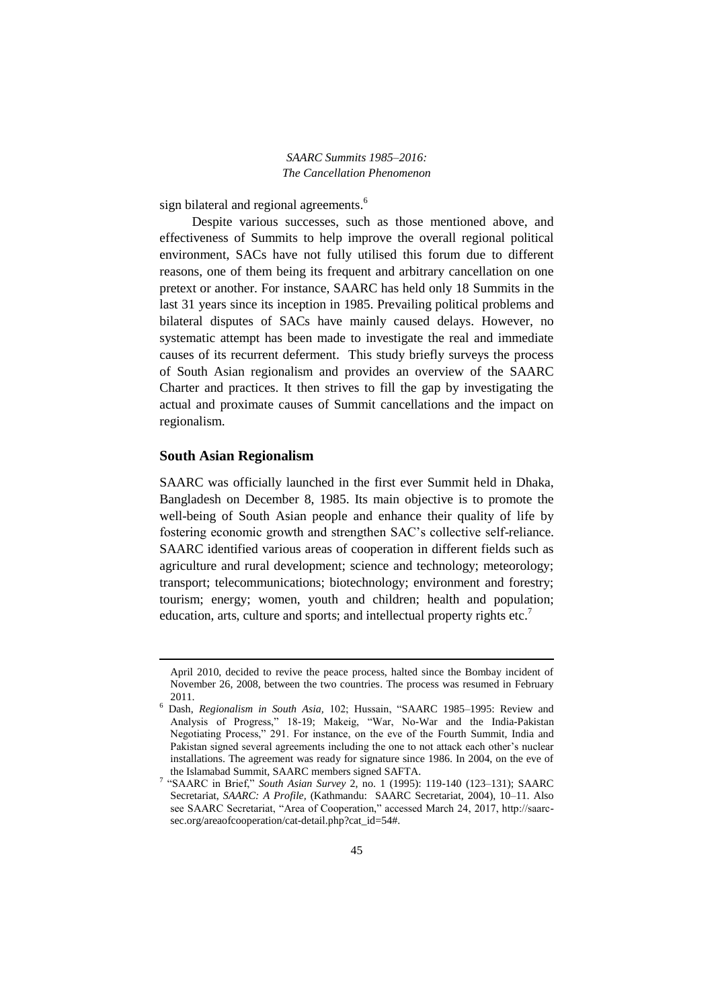sign bilateral and regional agreements.<sup>6</sup>

Despite various successes, such as those mentioned above, and effectiveness of Summits to help improve the overall regional political environment, SACs have not fully utilised this forum due to different reasons, one of them being its frequent and arbitrary cancellation on one pretext or another. For instance, SAARC has held only 18 Summits in the last 31 years since its inception in 1985. Prevailing political problems and bilateral disputes of SACs have mainly caused delays. However, no systematic attempt has been made to investigate the real and immediate causes of its recurrent deferment. This study briefly surveys the process of South Asian regionalism and provides an overview of the SAARC Charter and practices. It then strives to fill the gap by investigating the actual and proximate causes of Summit cancellations and the impact on regionalism.

#### **South Asian Regionalism**

1

SAARC was officially launched in the first ever Summit held in Dhaka, Bangladesh on December 8, 1985. Its main objective is to promote the well-being of South Asian people and enhance their quality of life by fostering economic growth and strengthen SAC"s collective self-reliance. SAARC identified various areas of cooperation in different fields such as agriculture and rural development; science and technology; meteorology; transport; telecommunications; biotechnology; environment and forestry; tourism; energy; women, youth and children; health and population; education, arts, culture and sports; and intellectual property rights etc.<sup>7</sup>

April 2010, decided to revive the peace process, halted since the Bombay incident of November 26, 2008, between the two countries. The process was resumed in February 2011.

<sup>6</sup> Dash, *Regionalism in South Asia,* 102; Hussain, "SAARC 1985–1995: Review and Analysis of Progress," 18-19; Makeig, "War, No-War and the India-Pakistan Negotiating Process," 291. For instance, on the eve of the Fourth Summit, India and Pakistan signed several agreements including the one to not attack each other"s nuclear installations. The agreement was ready for signature since 1986. In 2004, on the eve of the Islamabad Summit, SAARC members signed SAFTA.

<sup>7</sup> "SAARC in Brief," *South Asian Survey* 2, no. 1 (1995): 119-140 (123–131); SAARC Secretariat, *SAARC: A Profile,* (Kathmandu: SAARC Secretariat, 2004), 10–11. Also see SAARC Secretariat, "Area of Cooperation," accessed March 24, 2017, http://saarcsec.org/areaofcooperation/cat-detail.php?cat\_id=54#.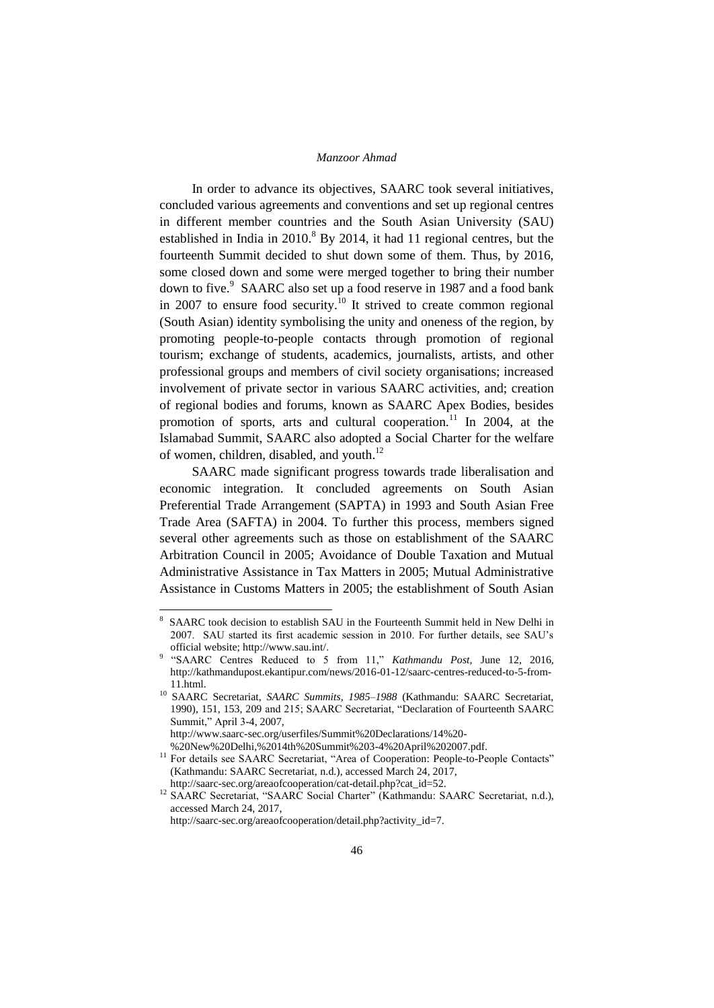In order to advance its objectives, SAARC took several initiatives, concluded various agreements and conventions and set up regional centres in different member countries and the South Asian University (SAU) established in India in  $2010$ .<sup>8</sup> By 2014, it had 11 regional centres, but the fourteenth Summit decided to shut down some of them. Thus, by 2016, some closed down and some were merged together to bring their number down to five.<sup>9</sup> SAARC also set up a food reserve in 1987 and a food bank in 2007 to ensure food security.<sup>10</sup> It strived to create common regional (South Asian) identity symbolising the unity and oneness of the region, by promoting people-to-people contacts through promotion of regional tourism; exchange of students, academics, journalists, artists, and other professional groups and members of civil society organisations; increased involvement of private sector in various SAARC activities, and; creation of regional bodies and forums, known as SAARC Apex Bodies, besides promotion of sports, arts and cultural cooperation.<sup>11</sup> In 2004, at the Islamabad Summit, SAARC also adopted a Social Charter for the welfare of women, children, disabled, and youth.<sup>12</sup>

SAARC made significant progress towards trade liberalisation and economic integration. It concluded agreements on South Asian Preferential Trade Arrangement (SAPTA) in 1993 and South Asian Free Trade Area (SAFTA) in 2004. To further this process, members signed several other agreements such as those on establishment of the SAARC Arbitration Council in 2005; Avoidance of Double Taxation and Mutual Administrative Assistance in Tax Matters in 2005; Mutual Administrative Assistance in Customs Matters in 2005; the establishment of South Asian

1

<sup>8</sup> SAARC took decision to establish SAU in the Fourteenth Summit held in New Delhi in 2007. SAU started its first academic session in 2010. For further details, see SAU"s official website; http://www.sau.int/.

<sup>&</sup>lt;sup>9</sup> "SAARC Centres Reduced to 5 from 11," *Kathmandu Post*, June 12, 2016, http://kathmandupost.ekantipur.com/news/2016-01-12/saarc-centres-reduced-to-5-from-11.html.

<sup>&</sup>lt;sup>10</sup> SAARC Secretariat, *SAARC Summits, 1985-1988* (Kathmandu: SAARC Secretariat, 1990), 151, 153, 209 and 215; SAARC Secretariat, "Declaration of Fourteenth SAARC Summit," April 3-4, 2007,

http://www.saarc-sec.org/userfiles/Summit%20Declarations/14%20-

<sup>%20</sup>New%20Delhi,%2014th%20Summit%203-4%20April%202007.pdf.

<sup>&</sup>lt;sup>11</sup> For details see SAARC Secretariat, "Area of Cooperation: People-to-People Contacts" (Kathmandu: SAARC Secretariat, n.d.), accessed March 24, 2017, http://saarc-sec.org/areaofcooperation/cat-detail.php?cat\_id=52.

<sup>&</sup>lt;sup>12</sup> SAARC Secretariat, "SAARC Social Charter" (Kathmandu: SAARC Secretariat, n.d.), accessed March 24, 2017,

http://saarc-sec.org/areaofcooperation/detail.php?activity\_id=7.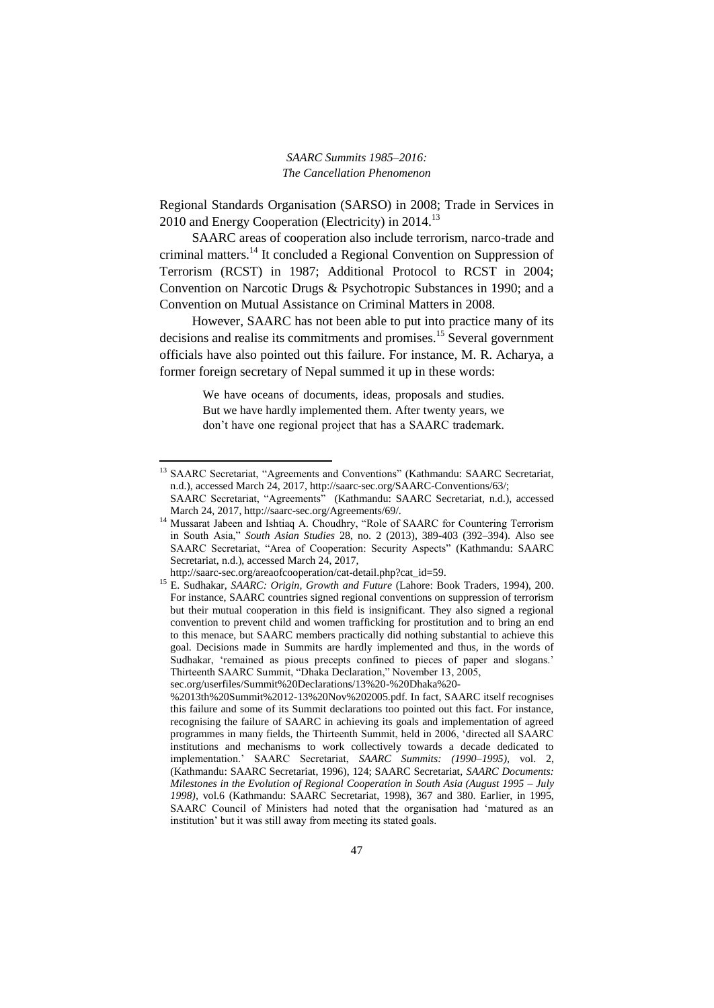Regional Standards Organisation (SARSO) in 2008; Trade in Services in 2010 and Energy Cooperation (Electricity) in 2014.<sup>13</sup>

SAARC areas of cooperation also include terrorism, narco-trade and criminal matters.<sup>14</sup> It concluded a Regional Convention on Suppression of Terrorism (RCST) in 1987; Additional Protocol to RCST in 2004; Convention on Narcotic Drugs & Psychotropic Substances in 1990; and a Convention on Mutual Assistance on Criminal Matters in 2008.

However, SAARC has not been able to put into practice many of its decisions and realise its commitments and promises.<sup>15</sup> Several government officials have also pointed out this failure. For instance, M. R. Acharya, a former foreign secretary of Nepal summed it up in these words:

> We have oceans of documents, ideas, proposals and studies. But we have hardly implemented them. After twenty years, we don"t have one regional project that has a SAARC trademark.

<sup>&</sup>lt;sup>13</sup> SAARC Secretariat, "Agreements and Conventions" (Kathmandu: SAARC Secretariat, n.d.), accessed March 24, 2017, http://saarc-sec.org/SAARC-Conventions/63/;

SAARC Secretariat, "Agreements" (Kathmandu: SAARC Secretariat, n.d.), accessed March 24, 2017, http://saarc-sec.org/Agreements/69/.

<sup>&</sup>lt;sup>14</sup> Mussarat Jabeen and Ishtiaq A. Choudhry, "Role of SAARC for Countering Terrorism in South Asia," *South Asian Studies* 28, no. 2 (2013), 389-403 (392–394). Also see SAARC Secretariat, "Area of Cooperation: Security Aspects" (Kathmandu: SAARC Secretariat, n.d.), accessed March 24, 2017,

http://saarc-sec.org/areaofcooperation/cat-detail.php?cat\_id=59.

<sup>15</sup> E. Sudhakar, *SAARC: Origin, Growth and Future* (Lahore: Book Traders, 1994), 200. For instance, SAARC countries signed regional conventions on suppression of terrorism but their mutual cooperation in this field is insignificant. They also signed a regional convention to prevent child and women trafficking for prostitution and to bring an end to this menace, but SAARC members practically did nothing substantial to achieve this goal. Decisions made in Summits are hardly implemented and thus, in the words of Sudhakar, 'remained as pious precepts confined to pieces of paper and slogans.' Thirteenth SAARC Summit, "Dhaka Declaration," November 13, 2005,

sec.org/userfiles/Summit%20Declarations/13%20-%20Dhaka%20-

<sup>%2013</sup>th%20Summit%2012-13%20Nov%202005.pdf. In fact, SAARC itself recognises this failure and some of its Summit declarations too pointed out this fact. For instance, recognising the failure of SAARC in achieving its goals and implementation of agreed programmes in many fields, the Thirteenth Summit, held in 2006, "directed all SAARC institutions and mechanisms to work collectively towards a decade dedicated to implementation." SAARC Secretariat, *SAARC Summits: (1990–1995),* vol. 2, (Kathmandu: SAARC Secretariat, 1996), 124; SAARC Secretariat, *SAARC Documents: Milestones in the Evolution of Regional Cooperation in South Asia (August 1995 – July 1998),* vol.6 (Kathmandu: SAARC Secretariat, 1998), 367 and 380. Earlier, in 1995, SAARC Council of Ministers had noted that the organisation had "matured as an institution" but it was still away from meeting its stated goals.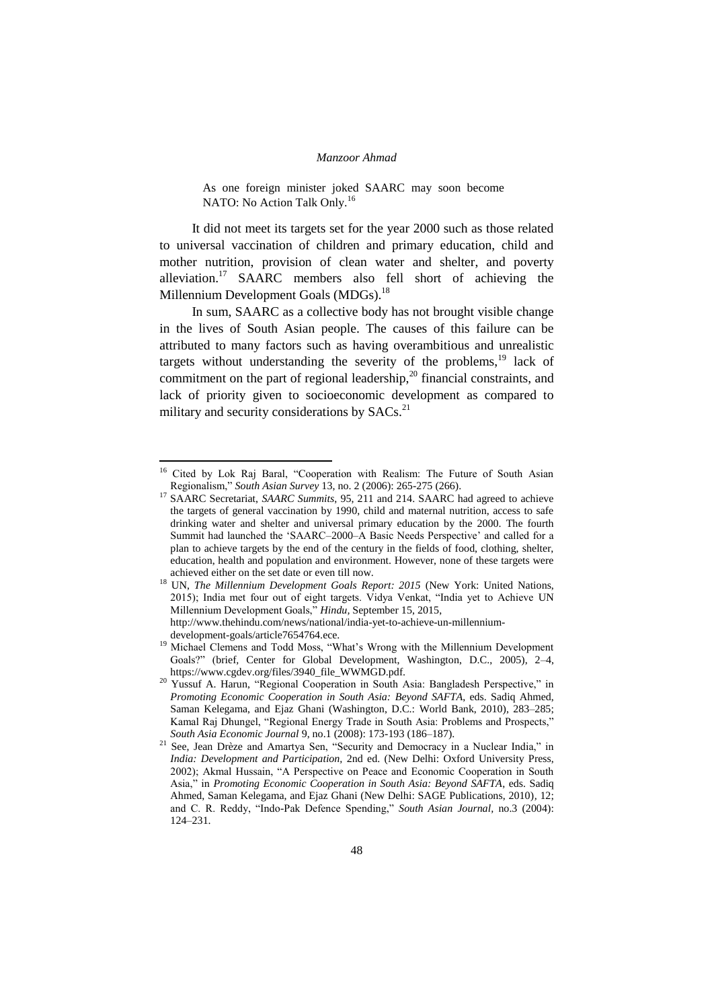As one foreign minister joked SAARC may soon become NATO: No Action Talk Only.<sup>16</sup>

It did not meet its targets set for the year 2000 such as those related to universal vaccination of children and primary education, child and mother nutrition, provision of clean water and shelter, and poverty alleviation.<sup>17</sup> SAARC members also fell short of achieving the Millennium Development Goals (MDGs).<sup>18</sup>

In sum, SAARC as a collective body has not brought visible change in the lives of South Asian people. The causes of this failure can be attributed to many factors such as having overambitious and unrealistic targets without understanding the severity of the problems, $19$  lack of commitment on the part of regional leadership, $^{20}$  financial constraints, and lack of priority given to socioeconomic development as compared to military and security considerations by  $SACs$ <sup>21</sup>

<sup>&</sup>lt;sup>16</sup> Cited by Lok Raj Baral, "Cooperation with Realism: The Future of South Asian Regionalism," *South Asian Survey* 13, no. 2 (2006): 265-275 (266).

SAARC Secretariat, *SAARC Summits*, 95, 211 and 214. SAARC had agreed to achieve the targets of general vaccination by 1990, child and maternal nutrition, access to safe drinking water and shelter and universal primary education by the 2000. The fourth Summit had launched the 'SAARC-2000-A Basic Needs Perspective' and called for a plan to achieve targets by the end of the century in the fields of food, clothing, shelter, education, health and population and environment. However, none of these targets were achieved either on the set date or even till now.

<sup>&</sup>lt;sup>18</sup> UN, *The Millennium Development Goals Report: 2015* (New York: United Nations, 2015); India met four out of eight targets. Vidya Venkat, "India yet to Achieve UN Millennium Development Goals," *Hindu,* September 15, 2015, http://www.thehindu.com/news/national/india-yet-to-achieve-un-millennium-

development-goals/article7654764.ece.

<sup>&</sup>lt;sup>19</sup> Michael Clemens and Todd Moss, "What's Wrong with the Millennium Development Goals?" (brief*,* Center for Global Development, Washington, D.C., 2005), 2–4, https://www.cgdev.org/files/3940\_file\_WWMGD.pdf.

<sup>20</sup> Yussuf A. Harun, "Regional Cooperation in South Asia: Bangladesh Perspective," in *Promoting Economic Cooperation in South Asia: Beyond SAFTA*, eds. Sadiq Ahmed, Saman Kelegama, and Ejaz Ghani (Washington, D.C.: World Bank, 2010), 283–285; Kamal Raj Dhungel, "Regional Energy Trade in South Asia: Problems and Prospects," *South Asia Economic Journal* 9, no.1 (2008): 173-193 (186–187).

<sup>&</sup>lt;sup>21</sup> See, Jean Drèze and Amartya Sen, "Security and Democracy in a Nuclear India," in *India: Development and Participation,* 2nd ed. (New Delhi: Oxford University Press, 2002); Akmal Hussain, "A Perspective on Peace and Economic Cooperation in South Asia," in *Promoting Economic Cooperation in South Asia: Beyond SAFTA*, eds. Sadiq Ahmed, Saman Kelegama, and Ejaz Ghani (New Delhi: SAGE Publications, 2010)*,* 12; and C. R. Reddy, "Indo-Pak Defence Spending," *South Asian Journal,* no.3 (2004): 124–231.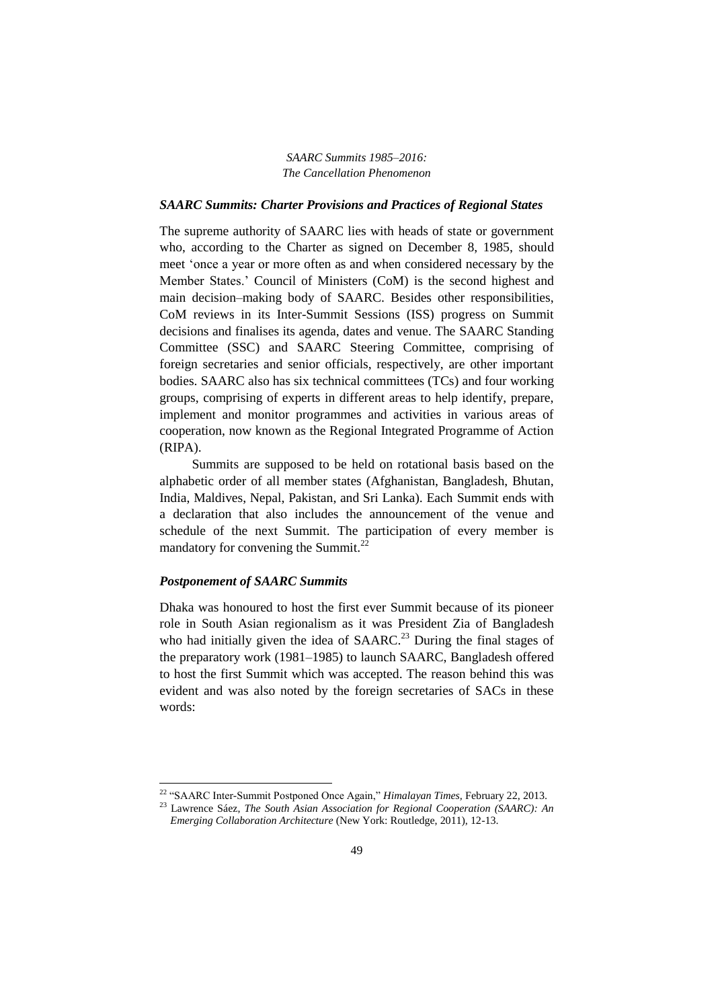#### *SAARC Summits: Charter Provisions and Practices of Regional States*

The supreme authority of SAARC lies with heads of state or government who, according to the Charter as signed on December 8, 1985, should meet "once a year or more often as and when considered necessary by the Member States." Council of Ministers (CoM) is the second highest and main decision–making body of SAARC. Besides other responsibilities, CoM reviews in its Inter-Summit Sessions (ISS) progress on Summit decisions and finalises its agenda, dates and venue. The SAARC Standing Committee (SSC) and SAARC Steering Committee, comprising of foreign secretaries and senior officials, respectively, are other important bodies. SAARC also has six technical committees (TCs) and four working groups, comprising of experts in different areas to help identify, prepare, implement and monitor programmes and activities in various areas of cooperation, now known as the Regional Integrated Programme of Action (RIPA).

Summits are supposed to be held on rotational basis based on the alphabetic order of all member states (Afghanistan, Bangladesh, Bhutan, India, Maldives, Nepal, Pakistan, and Sri Lanka). Each Summit ends with a declaration that also includes the announcement of the venue and schedule of the next Summit. The participation of every member is mandatory for convening the Summit.<sup>22</sup>

### *Postponement of SAARC Summits*

**.** 

Dhaka was honoured to host the first ever Summit because of its pioneer role in South Asian regionalism as it was President Zia of Bangladesh who had initially given the idea of  $SAARC<sup>23</sup>$  During the final stages of the preparatory work (1981–1985) to launch SAARC, Bangladesh offered to host the first Summit which was accepted. The reason behind this was evident and was also noted by the foreign secretaries of SACs in these words:

<sup>22</sup> "SAARC Inter-Summit Postponed Once Again," *Himalayan Times,* February 22, 2013. <sup>23</sup> Lawrence Sáez, *The South Asian Association for Regional Cooperation (SAARC): An Emerging Collaboration Architecture* (New York: Routledge, 2011), 12-13.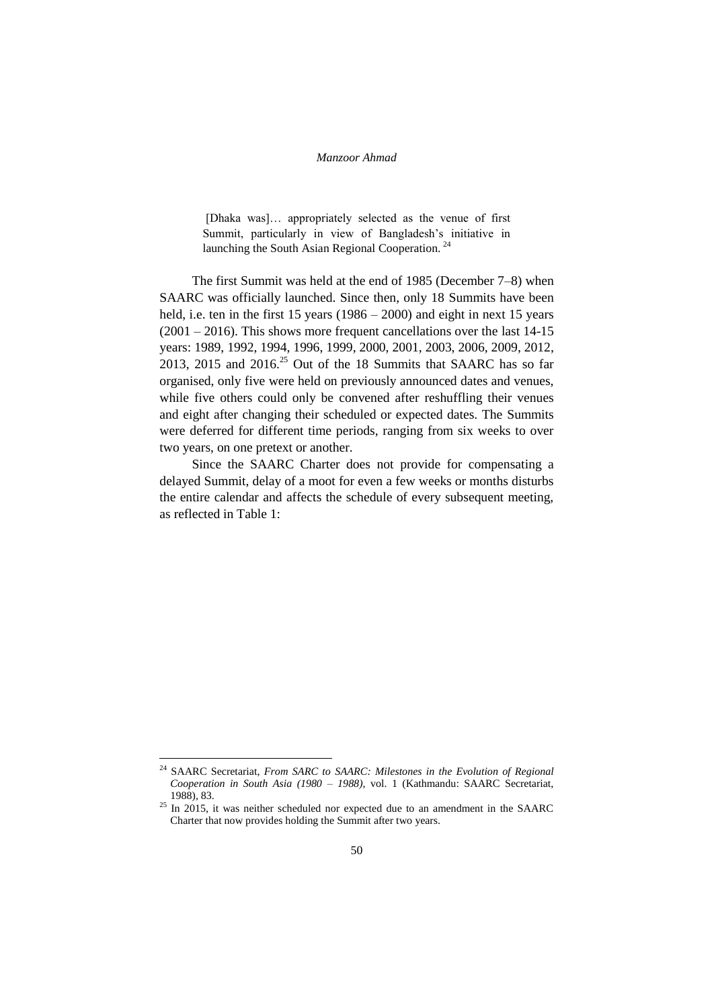[Dhaka was]… appropriately selected as the venue of first Summit, particularly in view of Bangladesh"s initiative in launching the South Asian Regional Cooperation.<sup>24</sup>

The first Summit was held at the end of 1985 (December 7–8) when SAARC was officially launched. Since then, only 18 Summits have been held, i.e. ten in the first 15 years (1986 – 2000) and eight in next 15 years (2001 – 2016). This shows more frequent cancellations over the last 14-15 years: 1989, 1992, 1994, 1996, 1999, 2000, 2001, 2003, 2006, 2009, 2012, 2013, 2015 and  $2016.<sup>25</sup>$  Out of the 18 Summits that SAARC has so far organised, only five were held on previously announced dates and venues, while five others could only be convened after reshuffling their venues and eight after changing their scheduled or expected dates. The Summits were deferred for different time periods, ranging from six weeks to over two years, on one pretext or another.

Since the SAARC Charter does not provide for compensating a delayed Summit, delay of a moot for even a few weeks or months disturbs the entire calendar and affects the schedule of every subsequent meeting, as reflected in Table 1:

1

<sup>&</sup>lt;sup>24</sup> SAARC Secretariat, *From SARC to SAARC: Milestones in the Evolution of Regional Cooperation in South Asia (1980 – 1988),* vol. 1 (Kathmandu: SAARC Secretariat, 1988), 83.

 $^{25}$  In 2015, it was neither scheduled nor expected due to an amendment in the SAARC Charter that now provides holding the Summit after two years.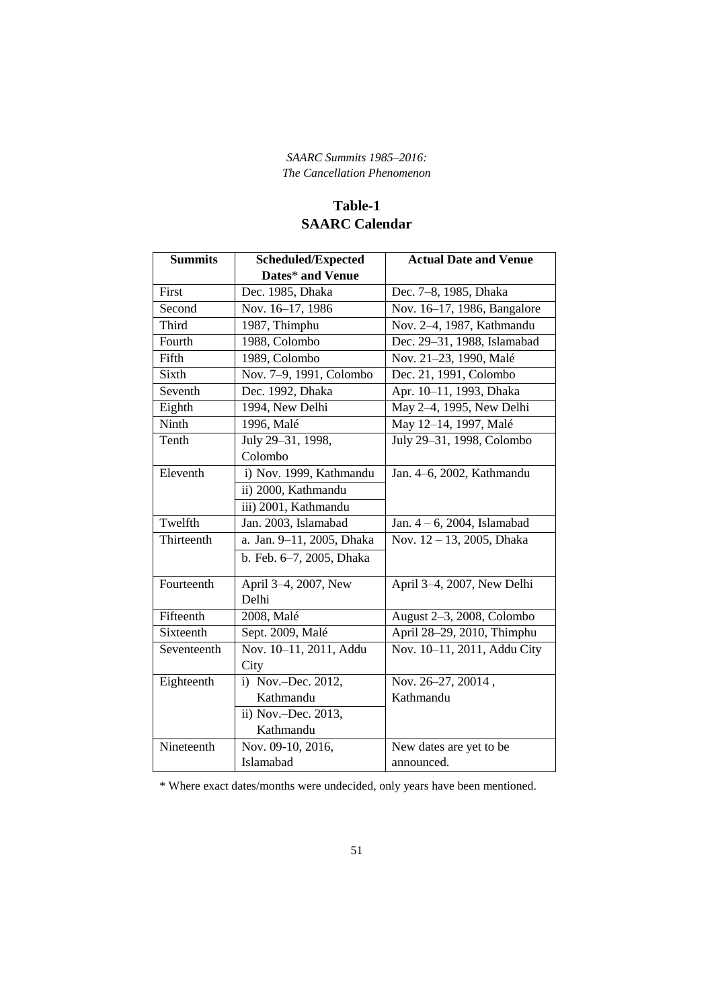# **Table-1 SAARC Calendar**

| <b>Summits</b> | <b>Scheduled/Expected</b> | <b>Actual Date and Venue</b> |
|----------------|---------------------------|------------------------------|
|                | Dates* and Venue          |                              |
| First          | Dec. 1985, Dhaka          | Dec. 7-8, 1985, Dhaka        |
| Second         | Nov. 16-17, 1986          | Nov. 16-17, 1986, Bangalore  |
| Third          | 1987, Thimphu             | Nov. 2-4, 1987, Kathmandu    |
| Fourth         | 1988, Colombo             | Dec. 29-31, 1988, Islamabad  |
| Fifth          | 1989, Colombo             | Nov. 21-23, 1990, Malé       |
| Sixth          | Nov. 7-9, 1991, Colombo   | Dec. 21, 1991, Colombo       |
| Seventh        | Dec. 1992, Dhaka          | Apr. 10-11, 1993, Dhaka      |
| Eighth         | 1994, New Delhi           | May 2-4, 1995, New Delhi     |
| Ninth          | 1996, Malé                | May 12-14, 1997, Malé        |
| Tenth          | July 29-31, 1998,         | July 29-31, 1998, Colombo    |
|                | Colombo                   |                              |
| Eleventh       | i) Nov. 1999, Kathmandu   | Jan. 4-6, 2002, Kathmandu    |
|                | ii) 2000, Kathmandu       |                              |
|                | iii) 2001, Kathmandu      |                              |
| Twelfth        | Jan. 2003, Islamabad      | Jan. $4-6$ , 2004, Islamabad |
| Thirteenth     | a. Jan. 9-11, 2005, Dhaka | Nov. 12-13, 2005, Dhaka      |
|                | b. Feb. 6-7, 2005, Dhaka  |                              |
| Fourteenth     | April 3-4, 2007, New      | April 3-4, 2007, New Delhi   |
|                | Delhi                     |                              |
| Fifteenth      | 2008, Malé                | August 2-3, 2008, Colombo    |
| Sixteenth      | Sept. 2009, Malé          | April 28-29, 2010, Thimphu   |
| Seventeenth    | Nov. 10-11, 2011, Addu    | Nov. 10-11, 2011, Addu City  |
|                | City                      |                              |
| Eighteenth     | i) Nov.-Dec. 2012,        | Nov. 26-27, 20014,           |
|                | Kathmandu                 | Kathmandu                    |
|                | ii) Nov.-Dec. 2013,       |                              |
|                | Kathmandu                 |                              |
| Nineteenth     | Nov. 09-10, 2016,         | New dates are yet to be      |
|                | Islamabad                 | announced.                   |

\* Where exact dates/months were undecided, only years have been mentioned.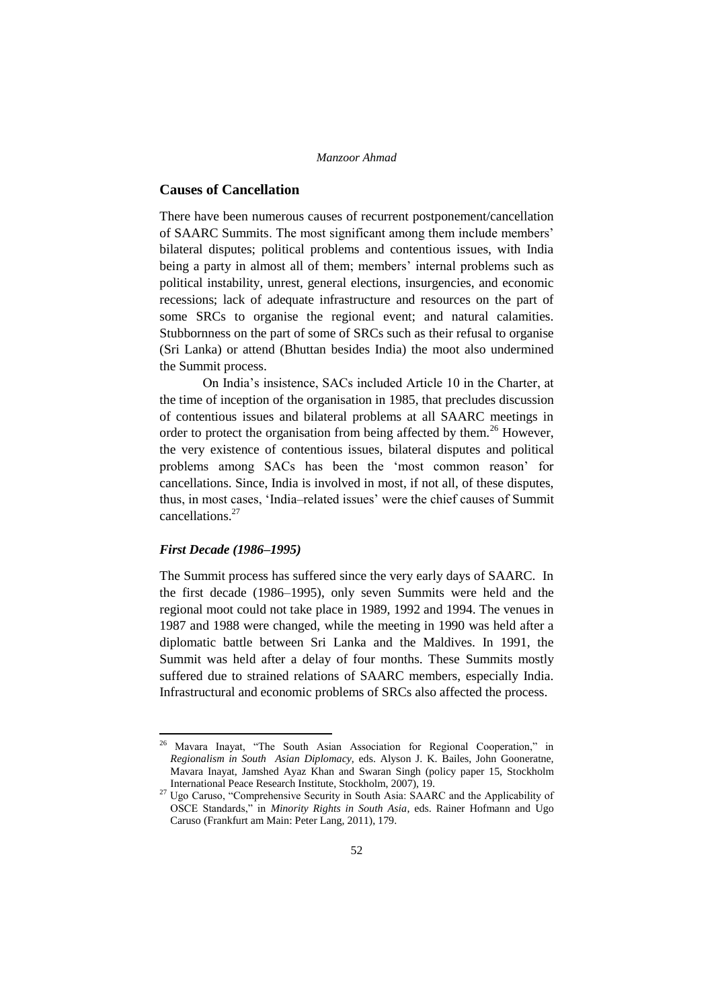# **Causes of Cancellation**

There have been numerous causes of recurrent postponement/cancellation of SAARC Summits. The most significant among them include members" bilateral disputes; political problems and contentious issues, with India being a party in almost all of them; members' internal problems such as political instability, unrest, general elections, insurgencies, and economic recessions; lack of adequate infrastructure and resources on the part of some SRCs to organise the regional event; and natural calamities. Stubbornness on the part of some of SRCs such as their refusal to organise (Sri Lanka) or attend (Bhuttan besides India) the moot also undermined the Summit process.

On India"s insistence, SACs included Article 10 in the Charter, at the time of inception of the organisation in 1985, that precludes discussion of contentious issues and bilateral problems at all SAARC meetings in order to protect the organisation from being affected by them.<sup>26</sup> However, the very existence of contentious issues, bilateral disputes and political problems among SACs has been the "most common reason" for cancellations. Since, India is involved in most, if not all, of these disputes, thus, in most cases, "India–related issues" were the chief causes of Summit cancellations.<sup>27</sup>

### *First Decade (1986–1995)*

1

The Summit process has suffered since the very early days of SAARC. In the first decade (1986–1995), only seven Summits were held and the regional moot could not take place in 1989, 1992 and 1994. The venues in 1987 and 1988 were changed, while the meeting in 1990 was held after a diplomatic battle between Sri Lanka and the Maldives. In 1991, the Summit was held after a delay of four months. These Summits mostly suffered due to strained relations of SAARC members, especially India. Infrastructural and economic problems of SRCs also affected the process.

<sup>&</sup>lt;sup>26</sup> Mavara Inayat, "The South Asian Association for Regional Cooperation," in *Regionalism in South Asian Diplomacy*, eds. Alyson J. K. Bailes, John Gooneratne, Mavara Inayat, Jamshed Ayaz Khan and Swaran Singh (policy paper 15, Stockholm International Peace Research Institute, Stockholm, 2007), 19.

<sup>&</sup>lt;sup>27</sup> Ugo Caruso, "Comprehensive Security in South Asia: SAARC and the Applicability of OSCE Standards," in *Minority Rights in South Asia*, eds. Rainer Hofmann and Ugo Caruso (Frankfurt am Main: Peter Lang, 2011), 179.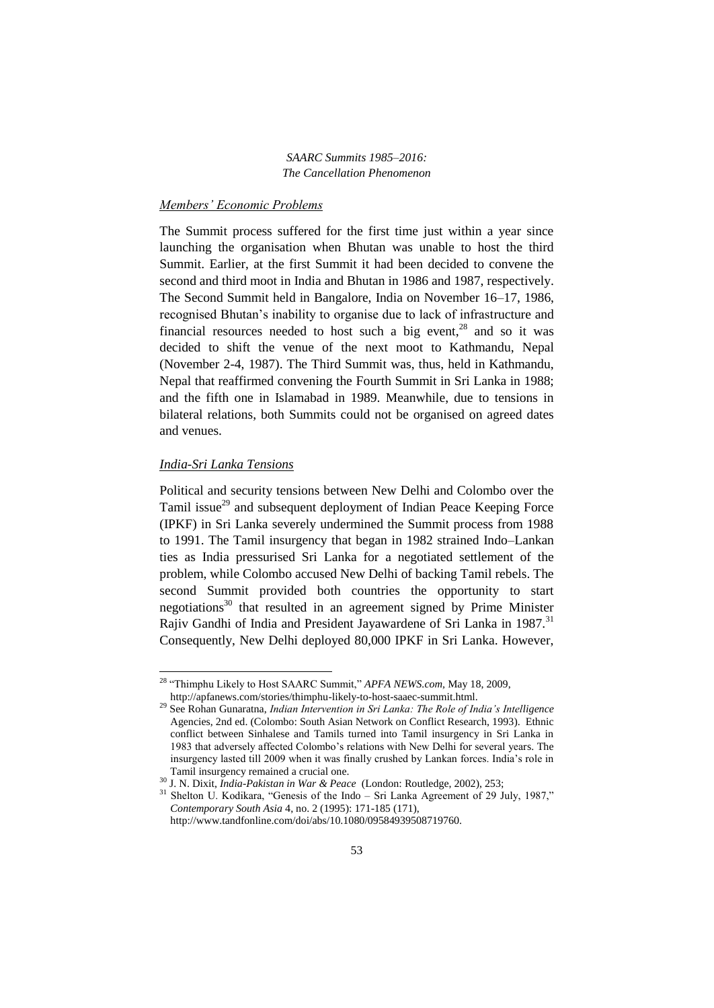## *Members' Economic Problems*

The Summit process suffered for the first time just within a year since launching the organisation when Bhutan was unable to host the third Summit. Earlier, at the first Summit it had been decided to convene the second and third moot in India and Bhutan in 1986 and 1987, respectively. The Second Summit held in Bangalore, India on November 16–17, 1986, recognised Bhutan"s inability to organise due to lack of infrastructure and financial resources needed to host such a big event, $^{28}$  and so it was decided to shift the venue of the next moot to Kathmandu, Nepal (November 2-4, 1987). The Third Summit was, thus, held in Kathmandu, Nepal that reaffirmed convening the Fourth Summit in Sri Lanka in 1988; and the fifth one in Islamabad in 1989. Meanwhile, due to tensions in bilateral relations, both Summits could not be organised on agreed dates and venues.

# *India-Sri Lanka Tensions*

**.** 

Political and security tensions between New Delhi and Colombo over the Tamil issue<sup>29</sup> and subsequent deployment of Indian Peace Keeping Force (IPKF) in Sri Lanka severely undermined the Summit process from 1988 to 1991. The Tamil insurgency that began in 1982 strained Indo–Lankan ties as India pressurised Sri Lanka for a negotiated settlement of the problem, while Colombo accused New Delhi of backing Tamil rebels. The second Summit provided both countries the opportunity to start negotiations<sup>30</sup> that resulted in an agreement signed by Prime Minister Rajiv Gandhi of India and President Jayawardene of Sri Lanka in 1987.<sup>31</sup> Consequently, New Delhi deployed 80,000 IPKF in Sri Lanka. However,

<sup>28</sup> "Thimphu Likely to Host SAARC Summit," *APFA NEWS.com,* May 18, 2009, http://apfanews.com/stories/thimphu-likely-to-host-saaec-summit.html.

<sup>29</sup> See Rohan Gunaratna, *Indian Intervention in Sri Lanka: The Role of India's Intelligence*  Agencies, 2nd ed. (Colombo: South Asian Network on Conflict Research, 1993). Ethnic conflict between Sinhalese and Tamils turned into Tamil insurgency in Sri Lanka in 1983 that adversely affected Colombo"s relations with New Delhi for several years. The insurgency lasted till 2009 when it was finally crushed by Lankan forces. India"s role in Tamil insurgency remained a crucial one.

<sup>30</sup> J. N. Dixit, *India-Pakistan in War & Peace* (London: Routledge, 2002), 253;

<sup>&</sup>lt;sup>31</sup> Shelton U. Kodikara, "Genesis of the Indo - Sri Lanka Agreement of 29 July, 1987," *Contemporary South Asia* 4, no. 2 (1995): 171-185 (171), http://www.tandfonline.com/doi/abs/10.1080/09584939508719760.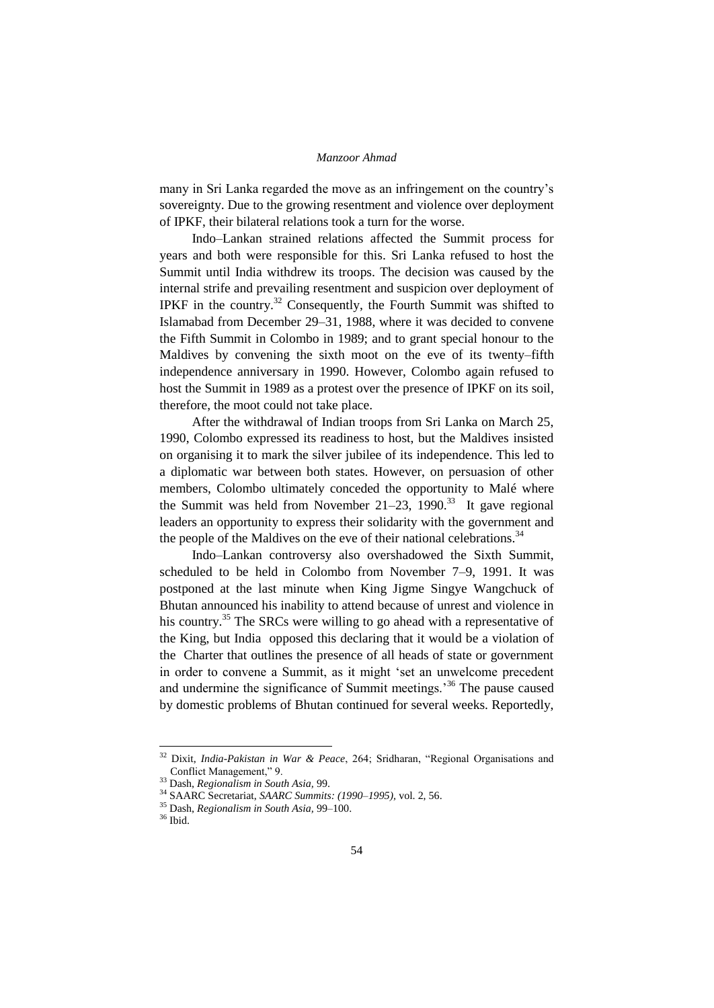many in Sri Lanka regarded the move as an infringement on the country"s sovereignty. Due to the growing resentment and violence over deployment of IPKF, their bilateral relations took a turn for the worse.

Indo–Lankan strained relations affected the Summit process for years and both were responsible for this. Sri Lanka refused to host the Summit until India withdrew its troops. The decision was caused by the internal strife and prevailing resentment and suspicion over deployment of IPKF in the country.<sup>32</sup> Consequently, the Fourth Summit was shifted to Islamabad from December 29–31, 1988, where it was decided to convene the Fifth Summit in Colombo in 1989; and to grant special honour to the Maldives by convening the sixth moot on the eve of its twenty–fifth independence anniversary in 1990. However, Colombo again refused to host the Summit in 1989 as a protest over the presence of IPKF on its soil, therefore, the moot could not take place.

After the withdrawal of Indian troops from Sri Lanka on March 25, 1990, Colombo expressed its readiness to host, but the Maldives insisted on organising it to mark the silver jubilee of its independence. This led to a diplomatic war between both states. However, on persuasion of other members, Colombo ultimately conceded the opportunity to Malé where the Summit was held from November 21–23, 1990.<sup>33</sup> It gave regional leaders an opportunity to express their solidarity with the government and the people of the Maldives on the eve of their national celebrations.<sup>34</sup>

Indo–Lankan controversy also overshadowed the Sixth Summit, scheduled to be held in Colombo from November 7–9, 1991. It was postponed at the last minute when King Jigme Singye Wangchuck of Bhutan announced his inability to attend because of unrest and violence in his country.<sup>35</sup> The SRCs were willing to go ahead with a representative of the King, but India opposed this declaring that it would be a violation of the Charter that outlines the presence of all heads of state or government in order to convene a Summit, as it might "set an unwelcome precedent and undermine the significance of Summit meetings.<sup>36</sup> The pause caused by domestic problems of Bhutan continued for several weeks. Reportedly,

<sup>32</sup> Dixit, *India-Pakistan in War & Peace*, 264; Sridharan, "Regional Organisations and Conflict Management," 9.

<sup>33</sup> Dash, *Regionalism in South Asia,* 99.

<sup>34</sup> SAARC Secretariat, *SAARC Summits: (1990–1995),* vol. 2, 56.

<sup>35</sup> Dash, *Regionalism in South Asia,* 99–100.

<sup>36</sup> Ibid.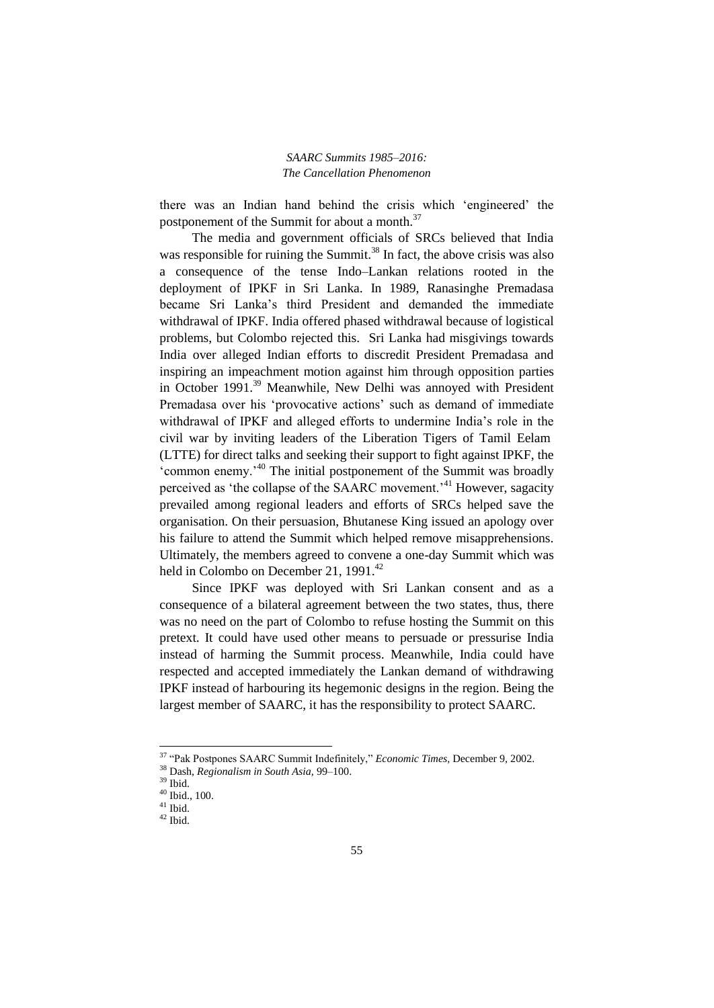there was an Indian hand behind the crisis which "engineered" the postponement of the Summit for about a month. $37$ 

The media and government officials of SRCs believed that India was responsible for ruining the Summit.<sup>38</sup> In fact, the above crisis was also a consequence of the tense Indo–Lankan relations rooted in the deployment of IPKF in Sri Lanka. In 1989, Ranasinghe Premadasa became Sri Lanka"s third President and demanded the immediate withdrawal of IPKF. India offered phased withdrawal because of logistical problems, but Colombo rejected this. Sri Lanka had misgivings towards India over alleged Indian efforts to discredit President Premadasa and inspiring an impeachment motion against him through opposition parties in October 1991.<sup>39</sup> Meanwhile, New Delhi was annoyed with President Premadasa over his 'provocative actions' such as demand of immediate withdrawal of IPKF and alleged efforts to undermine India"s role in the civil war by inviting leaders of the Liberation Tigers of Tamil Eelam (LTTE) for direct talks and seeking their support to fight against IPKF, the "common enemy."<sup>40</sup> The initial postponement of the Summit was broadly perceived as 'the collapse of the SAARC movement.<sup>'41</sup> However, sagacity prevailed among regional leaders and efforts of SRCs helped save the organisation. On their persuasion, Bhutanese King issued an apology over his failure to attend the Summit which helped remove misapprehensions. Ultimately, the members agreed to convene a one-day Summit which was held in Colombo on December 21, 1991.<sup>42</sup>

Since IPKF was deployed with Sri Lankan consent and as a consequence of a bilateral agreement between the two states, thus, there was no need on the part of Colombo to refuse hosting the Summit on this pretext. It could have used other means to persuade or pressurise India instead of harming the Summit process. Meanwhile, India could have respected and accepted immediately the Lankan demand of withdrawing IPKF instead of harbouring its hegemonic designs in the region. Being the largest member of SAARC, it has the responsibility to protect SAARC.

<sup>37</sup> "Pak Postpones SAARC Summit Indefinitely," *Economic Times,* December 9, 2002.

<sup>38</sup> Dash, *Regionalism in South Asia,* 99–100.

<sup>39</sup> Ibid.

<sup>40</sup> Ibid., 100.

 $^{\rm 41}$  Ibid.

 $42$  Ibid.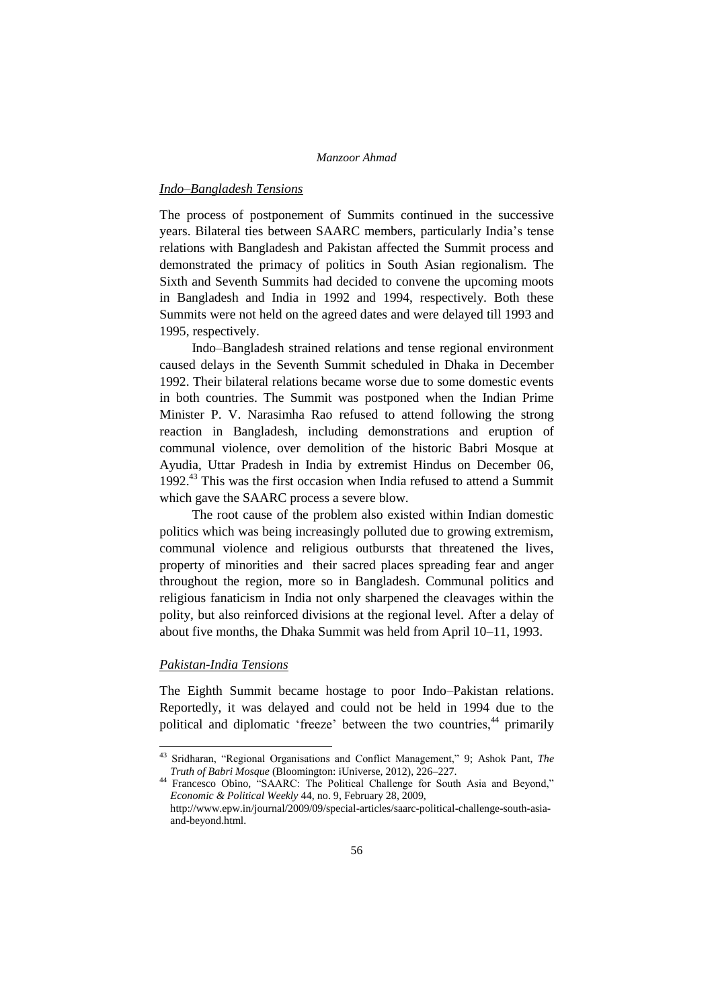#### *Indo–Bangladesh Tensions*

The process of postponement of Summits continued in the successive years. Bilateral ties between SAARC members, particularly India"s tense relations with Bangladesh and Pakistan affected the Summit process and demonstrated the primacy of politics in South Asian regionalism. The Sixth and Seventh Summits had decided to convene the upcoming moots in Bangladesh and India in 1992 and 1994, respectively. Both these Summits were not held on the agreed dates and were delayed till 1993 and 1995, respectively.

Indo–Bangladesh strained relations and tense regional environment caused delays in the Seventh Summit scheduled in Dhaka in December 1992. Their bilateral relations became worse due to some domestic events in both countries. The Summit was postponed when the Indian Prime Minister P. V. Narasimha Rao refused to attend following the strong reaction in Bangladesh, including demonstrations and eruption of communal violence, over demolition of the historic Babri Mosque at Ayudia, Uttar Pradesh in India by extremist Hindus on December 06,  $1992<sup>43</sup>$  This was the first occasion when India refused to attend a Summit which gave the SAARC process a severe blow.

The root cause of the problem also existed within Indian domestic politics which was being increasingly polluted due to growing extremism, communal violence and religious outbursts that threatened the lives, property of minorities and their sacred places spreading fear and anger throughout the region, more so in Bangladesh. Communal politics and religious fanaticism in India not only sharpened the cleavages within the polity, but also reinforced divisions at the regional level. After a delay of about five months, the Dhaka Summit was held from April 10–11, 1993.

## *Pakistan-India Tensions*

**.** 

The Eighth Summit became hostage to poor Indo–Pakistan relations. Reportedly, it was delayed and could not be held in 1994 due to the political and diplomatic 'freeze' between the two countries,<sup>44</sup> primarily

<sup>43</sup> Sridharan, "Regional Organisations and Conflict Management," 9; Ashok Pant, *The Truth of Babri Mosque* (Bloomington: iUniverse, 2012), 226–227.

<sup>44</sup> Francesco Obino, "SAARC: The Political Challenge for South Asia and Beyond," *Economic & Political Weekly* 44, no. 9, February 28, 2009, http://www.epw.in/journal/2009/09/special-articles/saarc-political-challenge-south-asia-

and-beyond.html.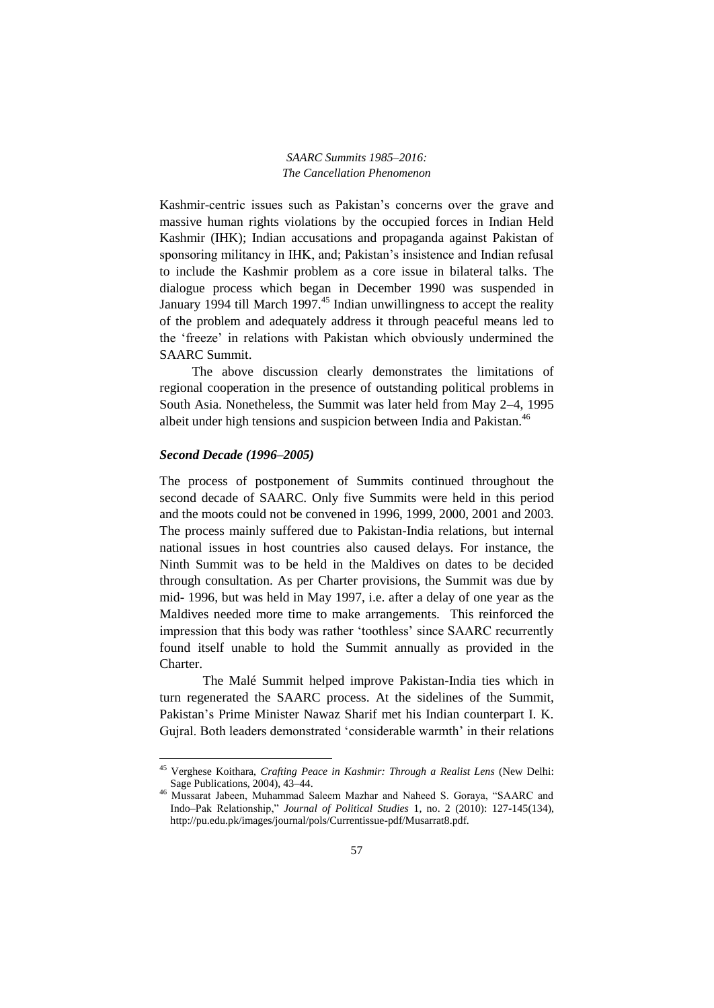Kashmir-centric issues such as Pakistan"s concerns over the grave and massive human rights violations by the occupied forces in Indian Held Kashmir (IHK); Indian accusations and propaganda against Pakistan of sponsoring militancy in IHK, and; Pakistan's insistence and Indian refusal to include the Kashmir problem as a core issue in bilateral talks. The dialogue process which began in December 1990 was suspended in January 1994 till March 1997.<sup>45</sup> Indian unwillingness to accept the reality of the problem and adequately address it through peaceful means led to the "freeze" in relations with Pakistan which obviously undermined the SAARC Summit.

The above discussion clearly demonstrates the limitations of regional cooperation in the presence of outstanding political problems in South Asia. Nonetheless, the Summit was later held from May 2–4, 1995 albeit under high tensions and suspicion between India and Pakistan.<sup>46</sup>

#### *Second Decade (1996–2005)*

1

The process of postponement of Summits continued throughout the second decade of SAARC. Only five Summits were held in this period and the moots could not be convened in 1996, 1999, 2000, 2001 and 2003. The process mainly suffered due to Pakistan-India relations, but internal national issues in host countries also caused delays. For instance, the Ninth Summit was to be held in the Maldives on dates to be decided through consultation. As per Charter provisions, the Summit was due by mid- 1996, but was held in May 1997, i.e. after a delay of one year as the Maldives needed more time to make arrangements. This reinforced the impression that this body was rather "toothless" since SAARC recurrently found itself unable to hold the Summit annually as provided in the Charter.

The Malé Summit helped improve Pakistan-India ties which in turn regenerated the SAARC process. At the sidelines of the Summit, Pakistan"s Prime Minister Nawaz Sharif met his Indian counterpart I. K. Guiral. Both leaders demonstrated 'considerable warmth' in their relations

<sup>45</sup> Verghese Koithara, *Crafting Peace in Kashmir: Through a Realist Lens* (New Delhi: Sage Publications, 2004), 43–44.

<sup>46</sup> Mussarat Jabeen, Muhammad Saleem Mazhar and Naheed S. Goraya, "SAARC and Indo–Pak Relationship," *Journal of Political Studies* 1, no. 2 (2010): 127-145(134), http://pu.edu.pk/images/journal/pols/Currentissue-pdf/Musarrat8.pdf.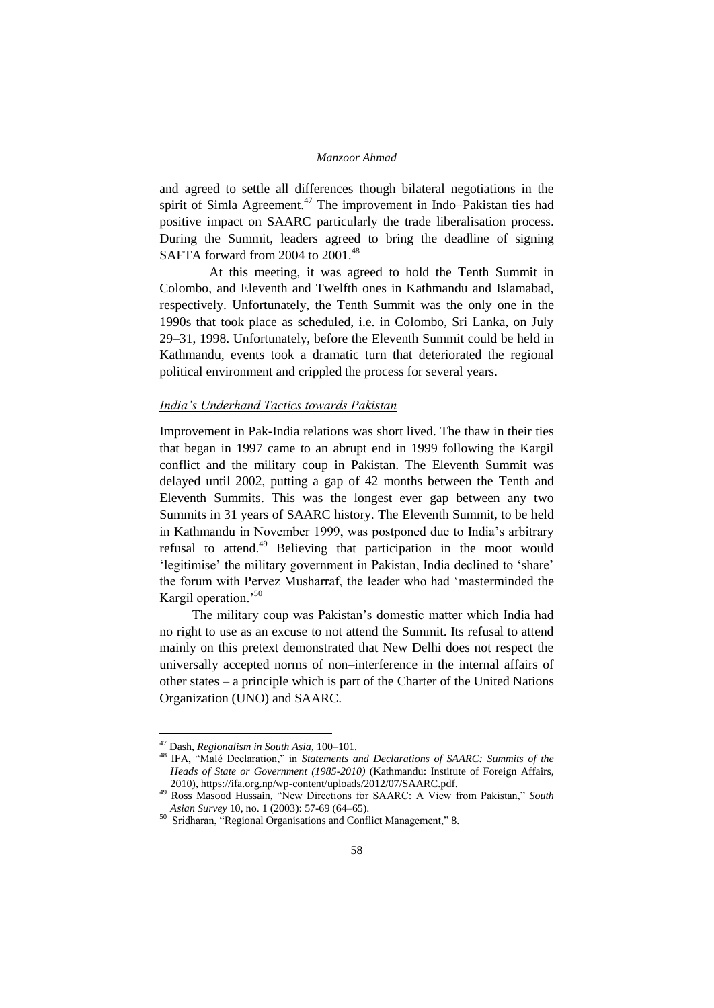and agreed to settle all differences though bilateral negotiations in the spirit of Simla Agreement.<sup>47</sup> The improvement in Indo–Pakistan ties had positive impact on SAARC particularly the trade liberalisation process. During the Summit, leaders agreed to bring the deadline of signing SAFTA forward from 2004 to 2001.<sup>48</sup>

 At this meeting, it was agreed to hold the Tenth Summit in Colombo, and Eleventh and Twelfth ones in Kathmandu and Islamabad, respectively. Unfortunately, the Tenth Summit was the only one in the 1990s that took place as scheduled, i.e. in Colombo, Sri Lanka, on July 29–31, 1998. Unfortunately, before the Eleventh Summit could be held in Kathmandu, events took a dramatic turn that deteriorated the regional political environment and crippled the process for several years.

### *India's Underhand Tactics towards Pakistan*

Improvement in Pak-India relations was short lived. The thaw in their ties that began in 1997 came to an abrupt end in 1999 following the Kargil conflict and the military coup in Pakistan. The Eleventh Summit was delayed until 2002, putting a gap of 42 months between the Tenth and Eleventh Summits. This was the longest ever gap between any two Summits in 31 years of SAARC history. The Eleventh Summit, to be held in Kathmandu in November 1999, was postponed due to India"s arbitrary refusal to attend.<sup>49</sup> Believing that participation in the moot would 'legitimise' the military government in Pakistan, India declined to 'share' the forum with Pervez Musharraf, the leader who had "masterminded the Kargil operation.<sup>50</sup>

The military coup was Pakistan"s domestic matter which India had no right to use as an excuse to not attend the Summit. Its refusal to attend mainly on this pretext demonstrated that New Delhi does not respect the universally accepted norms of non–interference in the internal affairs of other states – a principle which is part of the Charter of the United Nations Organization (UNO) and SAARC.

1

<sup>47</sup> Dash, *Regionalism in South Asia,* 100–101.

<sup>48</sup> IFA, "Malé Declaration," in *Statements and Declarations of SAARC: Summits of the Heads of State or Government (1985-2010)* (Kathmandu: Institute of Foreign Affairs, 2010), https://ifa.org.np/wp-content/uploads/2012/07/SAARC.pdf.

<sup>49</sup> Ross Masood Hussain, "New Directions for SAARC: A View from Pakistan," *South Asian Survey* 10, no. 1 (2003): 57-69 (64–65).

<sup>50</sup> Sridharan, "Regional Organisations and Conflict Management," 8.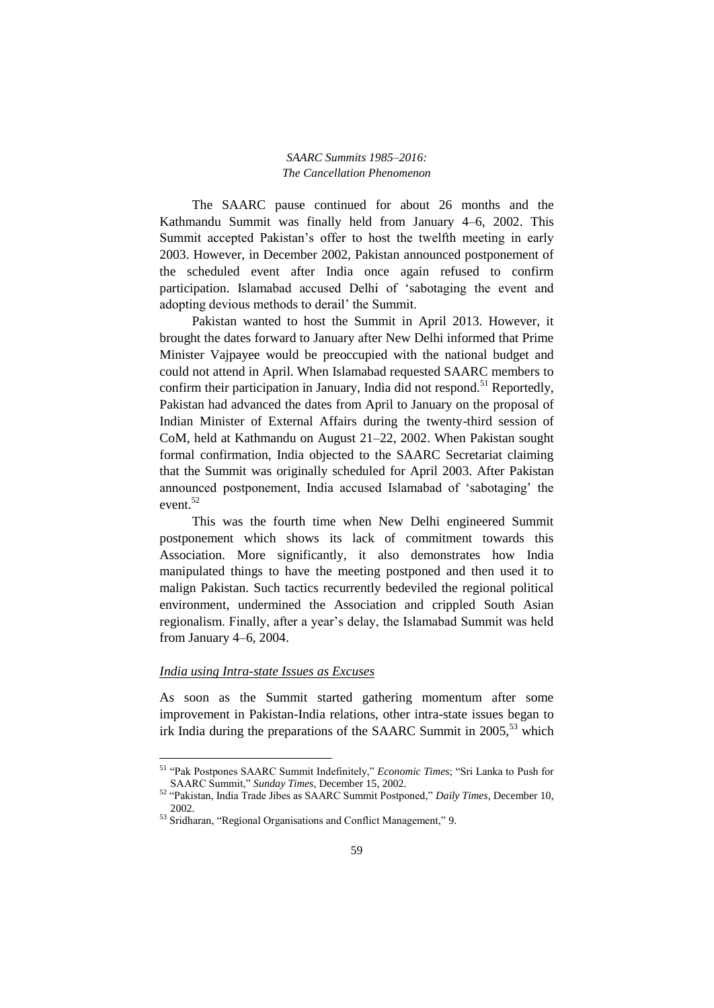The SAARC pause continued for about 26 months and the Kathmandu Summit was finally held from January 4–6, 2002. This Summit accepted Pakistan's offer to host the twelfth meeting in early 2003. However, in December 2002, Pakistan announced postponement of the scheduled event after India once again refused to confirm participation. Islamabad accused Delhi of "sabotaging the event and adopting devious methods to derail" the Summit.

Pakistan wanted to host the Summit in April 2013. However, it brought the dates forward to January after New Delhi informed that Prime Minister Vajpayee would be preoccupied with the national budget and could not attend in April. When Islamabad requested SAARC members to confirm their participation in January, India did not respond.<sup>51</sup> Reportedly, Pakistan had advanced the dates from April to January on the proposal of Indian Minister of External Affairs during the twenty-third session of CoM, held at Kathmandu on August 21–22, 2002. When Pakistan sought formal confirmation, India objected to the SAARC Secretariat claiming that the Summit was originally scheduled for April 2003. After Pakistan announced postponement, India accused Islamabad of "sabotaging" the event. $52$ 

This was the fourth time when New Delhi engineered Summit postponement which shows its lack of commitment towards this Association. More significantly, it also demonstrates how India manipulated things to have the meeting postponed and then used it to malign Pakistan. Such tactics recurrently bedeviled the regional political environment, undermined the Association and crippled South Asian regionalism. Finally, after a year"s delay, the Islamabad Summit was held from January 4–6, 2004.

### *India using Intra-state Issues as Excuses*

1

As soon as the Summit started gathering momentum after some improvement in Pakistan-India relations, other intra-state issues began to irk India during the preparations of the SAARC Summit in  $2005$ ,  $53$  which

<sup>51</sup> "Pak Postpones SAARC Summit Indefinitely," *Economic Times*; "Sri Lanka to Push for SAARC Summit," *Sunday Times*, December 15, 2002.

<sup>52</sup> "Pakistan, India Trade Jibes as SAARC Summit Postponed," *Daily Times,* December 10, 2002.

<sup>53</sup> Sridharan, "Regional Organisations and Conflict Management," 9.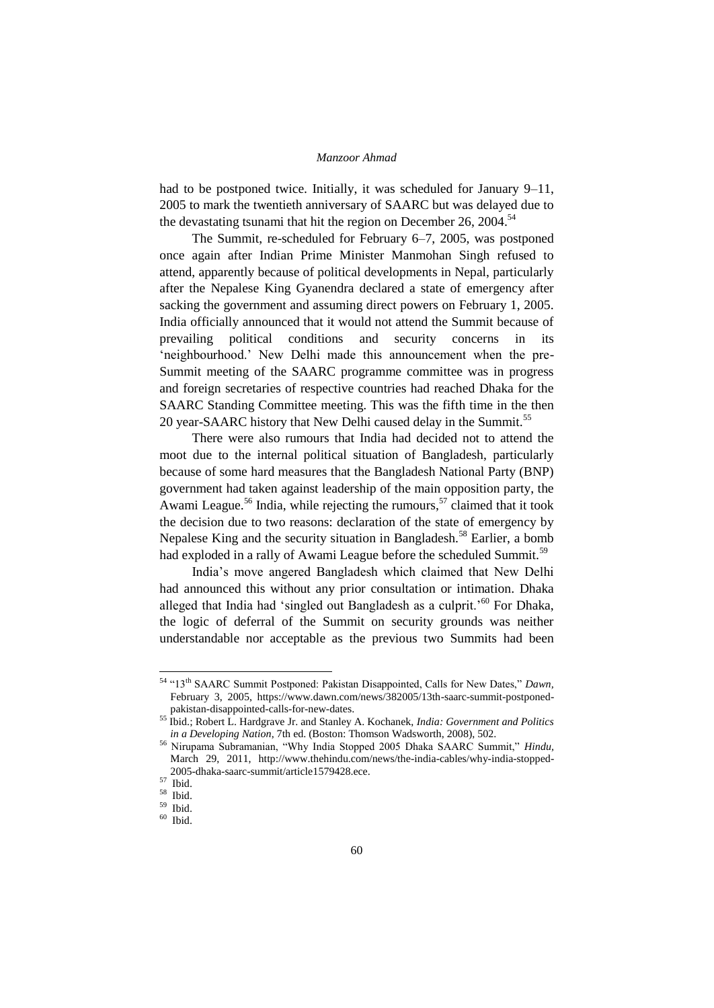had to be postponed twice. Initially, it was scheduled for January 9–11, 2005 to mark the twentieth anniversary of SAARC but was delayed due to the devastating tsunami that hit the region on December 26,  $2004$ <sup>54</sup>

The Summit, re-scheduled for February 6–7, 2005, was postponed once again after Indian Prime Minister Manmohan Singh refused to attend, apparently because of political developments in Nepal, particularly after the Nepalese King Gyanendra declared a state of emergency after sacking the government and assuming direct powers on February 1, 2005. India officially announced that it would not attend the Summit because of prevailing political conditions and security concerns in its 'neighbourhood.' New Delhi made this announcement when the pre-Summit meeting of the SAARC programme committee was in progress and foreign secretaries of respective countries had reached Dhaka for the SAARC Standing Committee meeting. This was the fifth time in the then 20 year-SAARC history that New Delhi caused delay in the Summit.<sup>55</sup>

There were also rumours that India had decided not to attend the moot due to the internal political situation of Bangladesh, particularly because of some hard measures that the Bangladesh National Party (BNP) government had taken against leadership of the main opposition party, the Awami League.<sup>56</sup> India, while rejecting the rumours,<sup>57</sup> claimed that it took the decision due to two reasons: declaration of the state of emergency by Nepalese King and the security situation in Bangladesh.<sup>58</sup> Earlier, a bomb had exploded in a rally of Awami League before the scheduled Summit.<sup>59</sup>

India"s move angered Bangladesh which claimed that New Delhi had announced this without any prior consultation or intimation. Dhaka alleged that India had 'singled out Bangladesh as a culprit.<sup>50</sup> For Dhaka, the logic of deferral of the Summit on security grounds was neither understandable nor acceptable as the previous two Summits had been

<sup>54</sup> "13th SAARC Summit Postponed: Pakistan Disappointed, Calls for New Dates," *Dawn,*  February 3, 2005, https://www.dawn.com/news/382005/13th-saarc-summit-postponedpakistan-disappointed-calls-for-new-dates.

<sup>55</sup> Ibid.; Robert L. Hardgrave Jr. and Stanley A. Kochanek, *India: Government and Politics in a Developing Nation*, 7th ed. (Boston: Thomson Wadsworth, 2008), 502.

<sup>56</sup> Nirupama Subramanian, "Why India Stopped 2005 Dhaka SAARC Summit," *Hindu,*  March 29, 2011, http://www.thehindu.com/news/the-india-cables/why-india-stopped-2005-dhaka-saarc-summit/article1579428.ece.

<sup>57</sup> Ibid.

 $\frac{58}{59}$  Ibid.

 $\begin{array}{c} 59 \\ 60 \\ \hline \end{array}$  Ibid.

Ibid.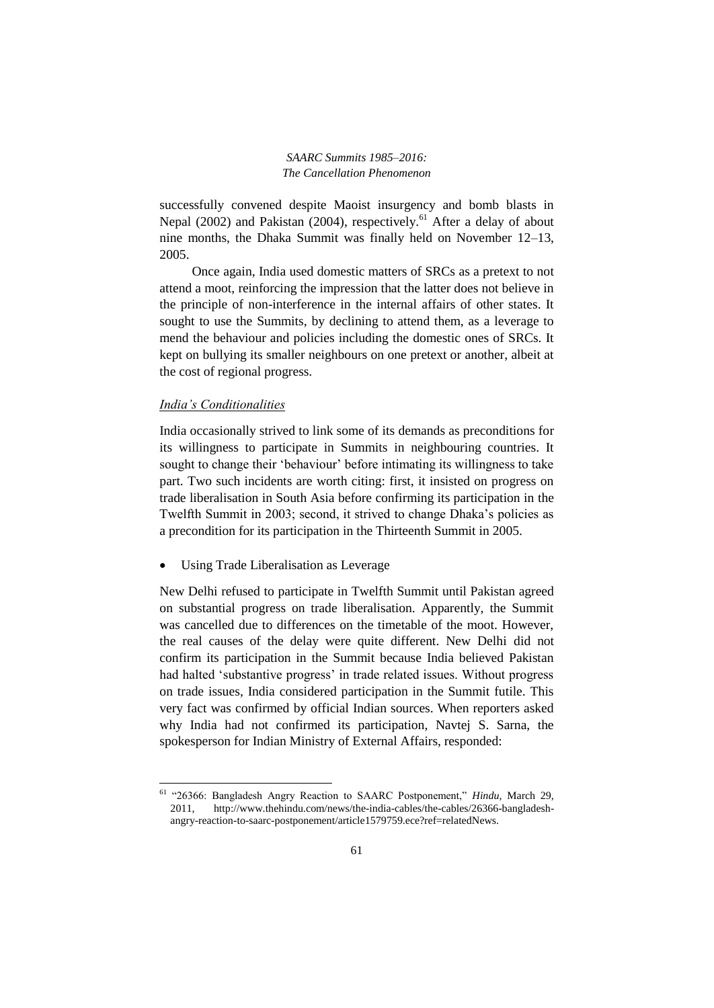successfully convened despite Maoist insurgency and bomb blasts in Nepal (2002) and Pakistan (2004), respectively.<sup>61</sup> After a delay of about nine months, the Dhaka Summit was finally held on November 12–13, 2005.

Once again, India used domestic matters of SRCs as a pretext to not attend a moot, reinforcing the impression that the latter does not believe in the principle of non-interference in the internal affairs of other states. It sought to use the Summits, by declining to attend them, as a leverage to mend the behaviour and policies including the domestic ones of SRCs. It kept on bullying its smaller neighbours on one pretext or another, albeit at the cost of regional progress.

### *India's Conditionalities*

**.** 

India occasionally strived to link some of its demands as preconditions for its willingness to participate in Summits in neighbouring countries. It sought to change their "behaviour" before intimating its willingness to take part. Two such incidents are worth citing: first, it insisted on progress on trade liberalisation in South Asia before confirming its participation in the Twelfth Summit in 2003; second, it strived to change Dhaka"s policies as a precondition for its participation in the Thirteenth Summit in 2005.

Using Trade Liberalisation as Leverage

New Delhi refused to participate in Twelfth Summit until Pakistan agreed on substantial progress on trade liberalisation. Apparently, the Summit was cancelled due to differences on the timetable of the moot. However, the real causes of the delay were quite different. New Delhi did not confirm its participation in the Summit because India believed Pakistan had halted 'substantive progress' in trade related issues. Without progress on trade issues, India considered participation in the Summit futile. This very fact was confirmed by official Indian sources. When reporters asked why India had not confirmed its participation, Navtej S. Sarna, the spokesperson for Indian Ministry of External Affairs, responded:

<sup>61</sup> "26366: Bangladesh Angry Reaction to SAARC Postponement," *Hindu,* March 29, 2011, http://www.thehindu.com/news/the-india-cables/the-cables/26366-bangladeshangry-reaction-to-saarc-postponement/article1579759.ece?ref=relatedNews.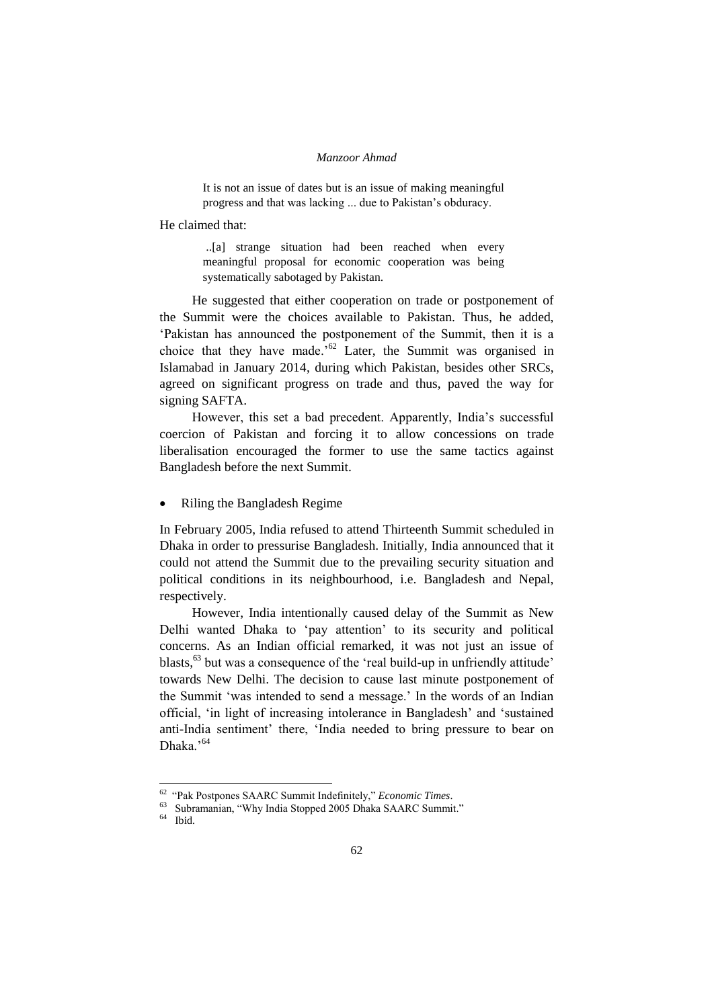It is not an issue of dates but is an issue of making meaningful progress and that was lacking ... due to Pakistan"s obduracy.

He claimed that:

..[a] strange situation had been reached when every meaningful proposal for economic cooperation was being systematically sabotaged by Pakistan.

He suggested that either cooperation on trade or postponement of the Summit were the choices available to Pakistan. Thus, he added, "Pakistan has announced the postponement of the Summit, then it is a choice that they have made.<sup>52</sup> Later, the Summit was organised in Islamabad in January 2014, during which Pakistan, besides other SRCs, agreed on significant progress on trade and thus, paved the way for signing SAFTA.

However, this set a bad precedent. Apparently, India"s successful coercion of Pakistan and forcing it to allow concessions on trade liberalisation encouraged the former to use the same tactics against Bangladesh before the next Summit.

Riling the Bangladesh Regime

In February 2005, India refused to attend Thirteenth Summit scheduled in Dhaka in order to pressurise Bangladesh. Initially, India announced that it could not attend the Summit due to the prevailing security situation and political conditions in its neighbourhood, i.e. Bangladesh and Nepal, respectively.

However, India intentionally caused delay of the Summit as New Delhi wanted Dhaka to "pay attention" to its security and political concerns. As an Indian official remarked, it was not just an issue of blasts,<sup>63</sup> but was a consequence of the 'real build-up in unfriendly attitude' towards New Delhi. The decision to cause last minute postponement of the Summit "was intended to send a message." In the words of an Indian official, "in light of increasing intolerance in Bangladesh" and "sustained anti-India sentiment" there, "India needed to bring pressure to bear on Dhaka.'<sup>64</sup>

<sup>62</sup> "Pak Postpones SAARC Summit Indefinitely," *Economic Times*.

<sup>63</sup> Subramanian, "Why India Stopped 2005 Dhaka SAARC Summit."

<sup>64</sup> Ibid.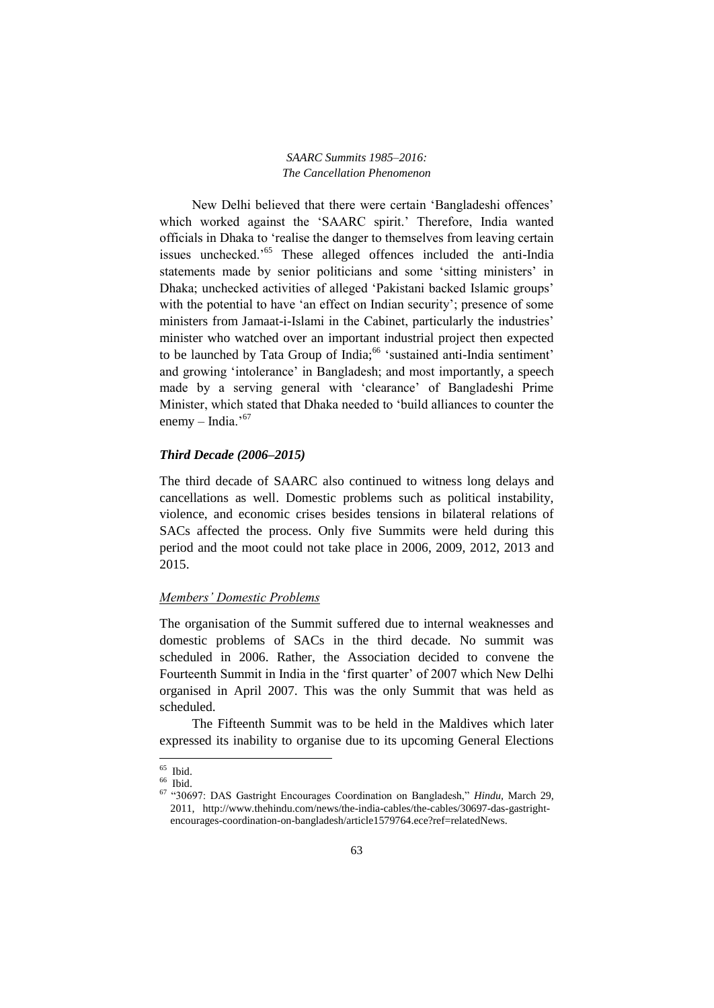New Delhi believed that there were certain "Bangladeshi offences" which worked against the 'SAARC spirit.' Therefore, India wanted officials in Dhaka to "realise the danger to themselves from leaving certain issues unchecked."<sup>65</sup> These alleged offences included the anti-India statements made by senior politicians and some 'sitting ministers' in Dhaka; unchecked activities of alleged 'Pakistani backed Islamic groups' with the potential to have 'an effect on Indian security'; presence of some ministers from Jamaat-i-Islami in the Cabinet, particularly the industries' minister who watched over an important industrial project then expected to be launched by Tata Group of India;<sup>66</sup> 'sustained anti-India sentiment' and growing 'intolerance' in Bangladesh; and most importantly, a speech made by a serving general with "clearance" of Bangladeshi Prime Minister, which stated that Dhaka needed to "build alliances to counter the enemy – India. $167$ 

### *Third Decade (2006–2015)*

The third decade of SAARC also continued to witness long delays and cancellations as well. Domestic problems such as political instability, violence, and economic crises besides tensions in bilateral relations of SACs affected the process. Only five Summits were held during this period and the moot could not take place in 2006, 2009, 2012, 2013 and 2015.

#### *Members' Domestic Problems*

The organisation of the Summit suffered due to internal weaknesses and domestic problems of SACs in the third decade. No summit was scheduled in 2006. Rather, the Association decided to convene the Fourteenth Summit in India in the 'first quarter' of 2007 which New Delhi organised in April 2007. This was the only Summit that was held as scheduled.

The Fifteenth Summit was to be held in the Maldives which later expressed its inability to organise due to its upcoming General Elections

1

 $65$  Ibid.

<sup>66</sup> Ibid.

<sup>67</sup> "30697: DAS Gastright Encourages Coordination on Bangladesh," *Hindu,* March 29, 2011, http://www.thehindu.com/news/the-india-cables/the-cables/30697-das-gastrightencourages-coordination-on-bangladesh/article1579764.ece?ref=relatedNews.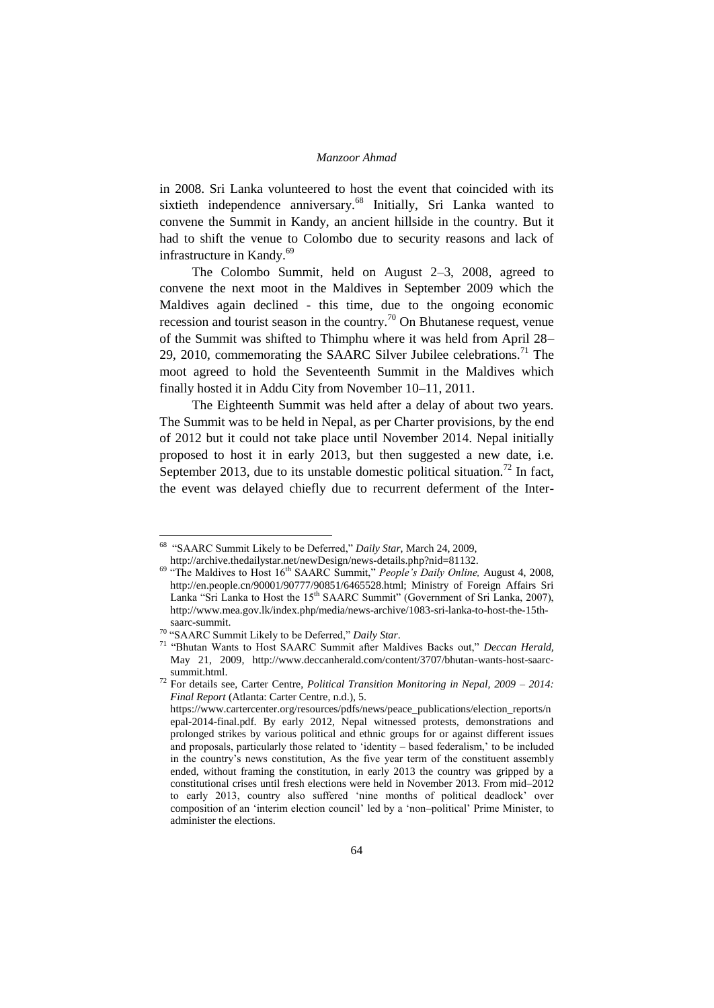in 2008. Sri Lanka volunteered to host the event that coincided with its sixtieth independence anniversary.<sup>68</sup> Initially, Sri Lanka wanted to convene the Summit in Kandy, an ancient hillside in the country. But it had to shift the venue to Colombo due to security reasons and lack of infrastructure in Kandy.<sup>69</sup>

The Colombo Summit, held on August 2–3, 2008, agreed to convene the next moot in the Maldives in September 2009 which the Maldives again declined - this time, due to the ongoing economic recession and tourist season in the country.<sup>70</sup> On Bhutanese request, venue of the Summit was shifted to Thimphu where it was held from April 28– 29, 2010, commemorating the SAARC Silver Jubilee celebrations.<sup>71</sup> The moot agreed to hold the Seventeenth Summit in the Maldives which finally hosted it in Addu City from November 10–11, 2011.

The Eighteenth Summit was held after a delay of about two years. The Summit was to be held in Nepal, as per Charter provisions, by the end of 2012 but it could not take place until November 2014. Nepal initially proposed to host it in early 2013, but then suggested a new date, i.e. September 2013, due to its unstable domestic political situation.<sup>72</sup> In fact, the event was delayed chiefly due to recurrent deferment of the Inter-

-

<sup>68</sup> "SAARC Summit Likely to be Deferred," *Daily Star,* March 24, 2009,

http://archive.thedailystar.net/newDesign/news-details.php?nid=81132.

<sup>&</sup>lt;sup>69</sup> "The Maldives to Host 16<sup>th</sup> SAARC Summit," *People's Daily Online*, August 4, 2008, http://en.people.cn/90001/90777/90851/6465528.html; Ministry of Foreign Affairs Sri Lanka "Sri Lanka to Host the  $15<sup>th</sup>$  SAARC Summit" (Government of Sri Lanka, 2007), http://www.mea.gov.lk/index.php/media/news-archive/1083-sri-lanka-to-host-the-15thsaarc-summit.

<sup>70</sup> "SAARC Summit Likely to be Deferred," *Daily Star*.

<sup>71</sup> "Bhutan Wants to Host SAARC Summit after Maldives Backs out," *Deccan Herald,*  May 21, 2009, http://www.deccanherald.com/content/3707/bhutan-wants-host-saarcsummit.html.

<sup>72</sup> For details see, Carter Centre, *Political Transition Monitoring in Nepal, 2009 – 2014: Final Report* (Atlanta: Carter Centre, n.d.), 5.

https://www.cartercenter.org/resources/pdfs/news/peace\_publications/election\_reports/n epal-2014-final.pdf. By early 2012, Nepal witnessed protests, demonstrations and prolonged strikes by various political and ethnic groups for or against different issues and proposals, particularly those related to "identity – based federalism," to be included in the country"s news constitution, As the five year term of the constituent assembly ended, without framing the constitution, in early 2013 the country was gripped by a constitutional crises until fresh elections were held in November 2013. From mid–2012 to early 2013, country also suffered "nine months of political deadlock" over composition of an "interim election council" led by a "non–political" Prime Minister, to administer the elections.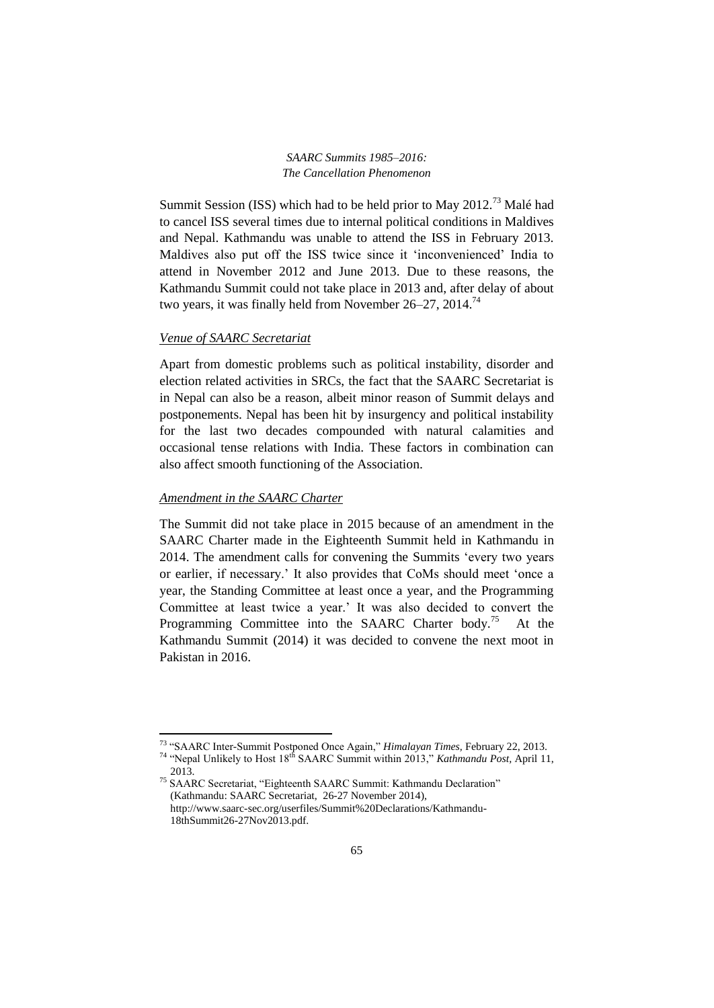Summit Session (ISS) which had to be held prior to May 2012.<sup>73</sup> Malé had to cancel ISS several times due to internal political conditions in Maldives and Nepal. Kathmandu was unable to attend the ISS in February 2013. Maldives also put off the ISS twice since it "inconvenienced" India to attend in November 2012 and June 2013. Due to these reasons, the Kathmandu Summit could not take place in 2013 and, after delay of about two years, it was finally held from November 26–27, 2014.<sup>74</sup>

# *Venue of SAARC Secretariat*

Apart from domestic problems such as political instability, disorder and election related activities in SRCs, the fact that the SAARC Secretariat is in Nepal can also be a reason, albeit minor reason of Summit delays and postponements. Nepal has been hit by insurgency and political instability for the last two decades compounded with natural calamities and occasional tense relations with India. These factors in combination can also affect smooth functioning of the Association.

## *Amendment in the SAARC Charter*

1

The Summit did not take place in 2015 because of an amendment in the SAARC Charter made in the Eighteenth Summit held in Kathmandu in 2014. The amendment calls for convening the Summits "every two years or earlier, if necessary." It also provides that CoMs should meet "once a year, the Standing Committee at least once a year, and the Programming Committee at least twice a year." It was also decided to convert the Programming Committee into the SAARC Charter body.<sup>75</sup> At the Kathmandu Summit (2014) it was decided to convene the next moot in Pakistan in 2016.

<sup>73</sup> "SAARC Inter-Summit Postponed Once Again," *Himalayan Times,* February 22, 2013.

<sup>&</sup>lt;sup>74</sup> "Nepal Unlikely to Host 18<sup>th</sup> SAARC Summit within 2013," *Kathmandu Post*, April 11, 2013.

<sup>75</sup> SAARC Secretariat, "Eighteenth SAARC Summit: Kathmandu Declaration" (Kathmandu: SAARC Secretariat, 26-27 November 2014), http://www.saarc-sec.org/userfiles/Summit%20Declarations/Kathmandu-18thSummit26-27Nov2013.pdf.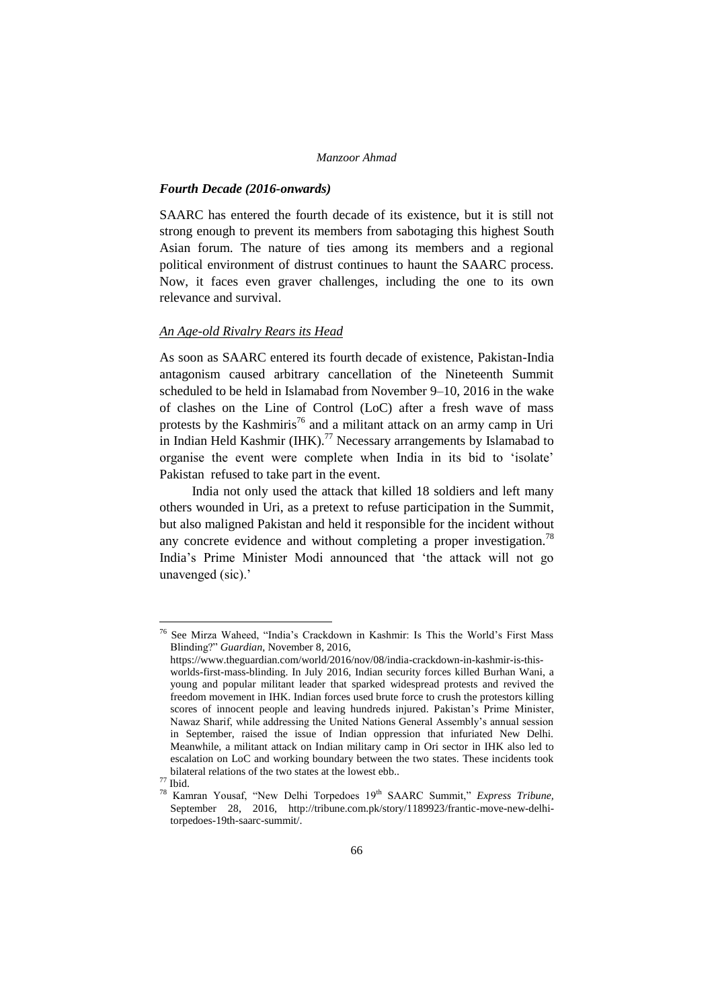#### *Fourth Decade (2016-onwards)*

SAARC has entered the fourth decade of its existence, but it is still not strong enough to prevent its members from sabotaging this highest South Asian forum. The nature of ties among its members and a regional political environment of distrust continues to haunt the SAARC process. Now, it faces even graver challenges, including the one to its own relevance and survival.

#### *An Age-old Rivalry Rears its Head*

As soon as SAARC entered its fourth decade of existence, Pakistan-India antagonism caused arbitrary cancellation of the Nineteenth Summit scheduled to be held in Islamabad from November 9–10, 2016 in the wake of clashes on the Line of Control (LoC) after a fresh wave of mass protests by the Kashmiris<sup>76</sup> and a militant attack on an army camp in Uri in Indian Held Kashmir (IHK).<sup>77</sup> Necessary arrangements by Islamabad to organise the event were complete when India in its bid to "isolate" Pakistan refused to take part in the event.

India not only used the attack that killed 18 soldiers and left many others wounded in Uri, as a pretext to refuse participation in the Summit, but also maligned Pakistan and held it responsible for the incident without any concrete evidence and without completing a proper investigation.<sup>78</sup> India"s Prime Minister Modi announced that "the attack will not go unavenged (sic).'

-

<sup>76</sup> See Mirza Waheed, "India"s Crackdown in Kashmir: Is This the World"s First Mass Blinding?" *Guardian*, November 8, 2016,

https://www.theguardian.com/world/2016/nov/08/india-crackdown-in-kashmir-is-thisworlds-first-mass-blinding. In July 2016, Indian security forces killed Burhan Wani, a young and popular militant leader that sparked widespread protests and revived the freedom movement in IHK. Indian forces used brute force to crush the protestors killing scores of innocent people and leaving hundreds injured. Pakistan"s Prime Minister, Nawaz Sharif, while addressing the United Nations General Assembly"s annual session in September, raised the issue of Indian oppression that infuriated New Delhi. Meanwhile, a militant attack on Indian military camp in Ori sector in IHK also led to escalation on LoC and working boundary between the two states. These incidents took bilateral relations of the two states at the lowest ebb..

 $^{77}$  Ibid.

<sup>&</sup>lt;sup>78</sup> Kamran Yousaf, "New Delhi Torpedoes 19<sup>th</sup> SAARC Summit," *Express Tribune*, September 28, 2016, http://tribune.com.pk/story/1189923/frantic-move-new-delhitorpedoes-19th-saarc-summit/.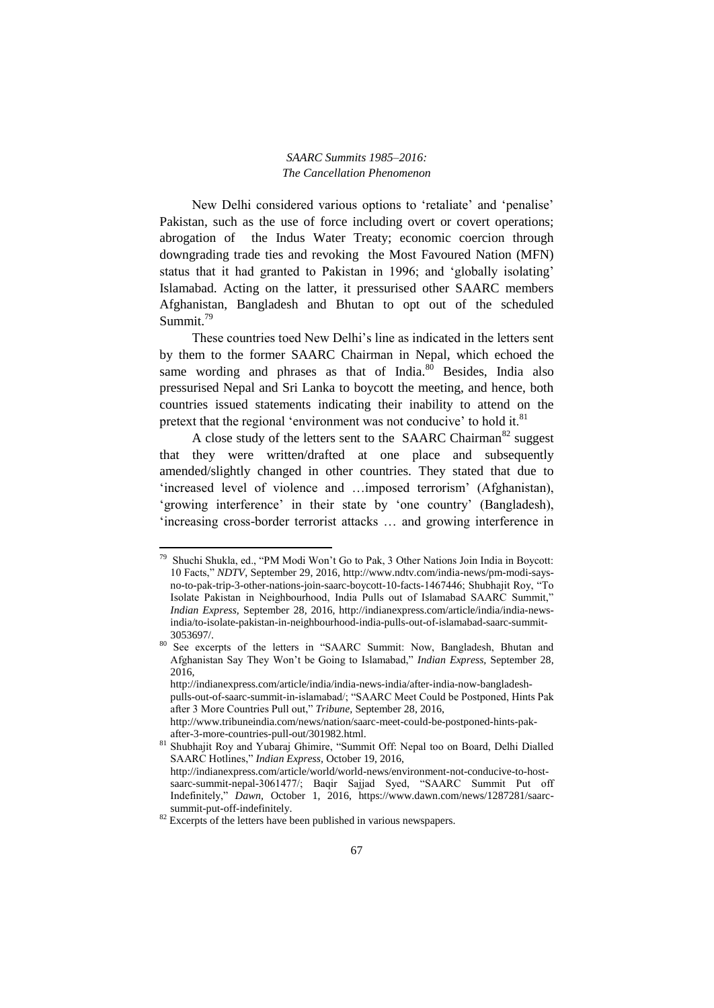New Delhi considered various options to 'retaliate' and 'penalise' Pakistan, such as the use of force including overt or covert operations; abrogation of the Indus Water Treaty; economic coercion through downgrading trade ties and revoking the Most Favoured Nation (MFN) status that it had granted to Pakistan in 1996; and "globally isolating" Islamabad. Acting on the latter, it pressurised other SAARC members Afghanistan, Bangladesh and Bhutan to opt out of the scheduled Summit.<sup>79</sup>

These countries toed New Delhi"s line as indicated in the letters sent by them to the former SAARC Chairman in Nepal, which echoed the same wording and phrases as that of India.<sup>80</sup> Besides, India also pressurised Nepal and Sri Lanka to boycott the meeting, and hence, both countries issued statements indicating their inability to attend on the pretext that the regional 'environment was not conducive' to hold it.<sup>81</sup>

A close study of the letters sent to the SAARC Chairman<sup>82</sup> suggest that they were written/drafted at one place and subsequently amended/slightly changed in other countries. They stated that due to 'increased level of violence and ...imposed terrorism' (Afghanistan), 'growing interference' in their state by 'one country' (Bangladesh), 'increasing cross-border terrorist attacks ... and growing interference in

1

<sup>79</sup> Shuchi Shukla, ed., "PM Modi Won"t Go to Pak, 3 Other Nations Join India in Boycott: 10 Facts," *NDTV*, September 29, 2016, http://www.ndtv.com/india-news/pm-modi-saysno-to-pak-trip-3-other-nations-join-saarc-boycott-10-facts-1467446; Shubhajit Roy, "To Isolate Pakistan in Neighbourhood, India Pulls out of Islamabad SAARC Summit," *Indian Express,* September 28, 2016, http://indianexpress.com/article/india/india-newsindia/to-isolate-pakistan-in-neighbourhood-india-pulls-out-of-islamabad-saarc-summit-3053697/.

<sup>80</sup> See excerpts of the letters in "SAARC Summit: Now, Bangladesh, Bhutan and Afghanistan Say They Won"t be Going to Islamabad," *Indian Express,* September 28, 2016,

http://indianexpress.com/article/india/india-news-india/after-india-now-bangladeshpulls-out-of-saarc-summit-in-islamabad/; "SAARC Meet Could be Postponed, Hints Pak after 3 More Countries Pull out," *Tribune,* September 28, 2016, http://www.tribuneindia.com/news/nation/saarc-meet-could-be-postponed-hints-pakafter-3-more-countries-pull-out/301982.html.

<sup>81</sup> Shubhajit Roy and Yubaraj Ghimire, "Summit Off: Nepal too on Board, Delhi Dialled SAARC Hotlines," *Indian Express,* October 19, 2016, http://indianexpress.com/article/world/world-news/environment-not-conducive-to-hostsaarc-summit-nepal-3061477/; Baqir Sajjad Syed, "SAARC Summit Put off

Indefinitely," *Dawn,* October 1, 2016, https://www.dawn.com/news/1287281/saarcsummit-put-off-indefinitely.

<sup>&</sup>lt;sup>82</sup> Excerpts of the letters have been published in various newspapers.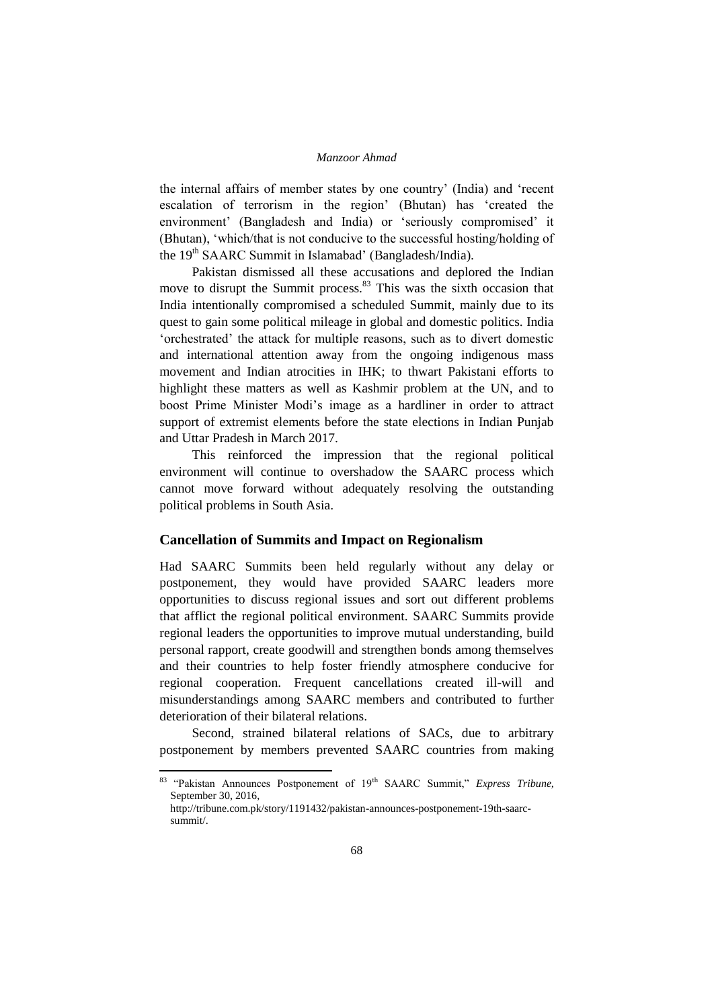the internal affairs of member states by one country" (India) and "recent escalation of terrorism in the region' (Bhutan) has 'created the environment' (Bangladesh and India) or 'seriously compromised' it (Bhutan), "which/that is not conducive to the successful hosting/holding of the 19<sup>th</sup> SAARC Summit in Islamabad' (Bangladesh/India).

Pakistan dismissed all these accusations and deplored the Indian move to disrupt the Summit process.<sup>83</sup> This was the sixth occasion that India intentionally compromised a scheduled Summit, mainly due to its quest to gain some political mileage in global and domestic politics. India "orchestrated" the attack for multiple reasons, such as to divert domestic and international attention away from the ongoing indigenous mass movement and Indian atrocities in IHK; to thwart Pakistani efforts to highlight these matters as well as Kashmir problem at the UN, and to boost Prime Minister Modi"s image as a hardliner in order to attract support of extremist elements before the state elections in Indian Punjab and Uttar Pradesh in March 2017.

This reinforced the impression that the regional political environment will continue to overshadow the SAARC process which cannot move forward without adequately resolving the outstanding political problems in South Asia.

#### **Cancellation of Summits and Impact on Regionalism**

Had SAARC Summits been held regularly without any delay or postponement, they would have provided SAARC leaders more opportunities to discuss regional issues and sort out different problems that afflict the regional political environment. SAARC Summits provide regional leaders the opportunities to improve mutual understanding, build personal rapport, create goodwill and strengthen bonds among themselves and their countries to help foster friendly atmosphere conducive for regional cooperation. Frequent cancellations created ill-will and misunderstandings among SAARC members and contributed to further deterioration of their bilateral relations.

Second, strained bilateral relations of SACs, due to arbitrary postponement by members prevented SAARC countries from making

<sup>&</sup>lt;sup>83</sup> "Pakistan Announces Postponement of 19<sup>th</sup> SAARC Summit," *Express Tribune*, September 30, 2016,

http://tribune.com.pk/story/1191432/pakistan-announces-postponement-19th-saarcsummit/.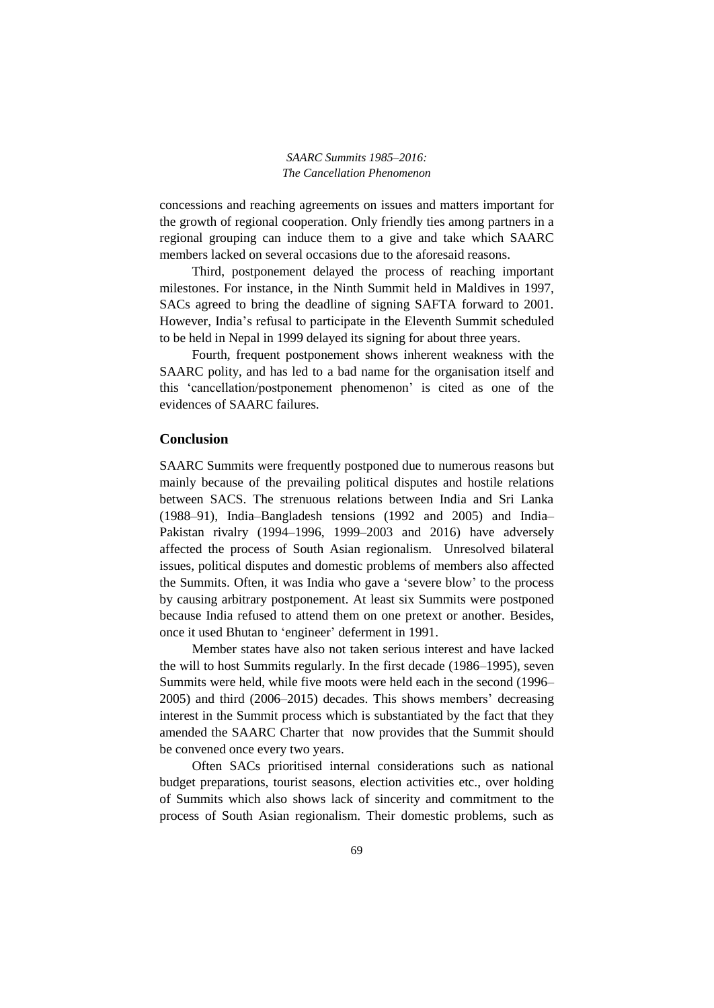concessions and reaching agreements on issues and matters important for the growth of regional cooperation. Only friendly ties among partners in a regional grouping can induce them to a give and take which SAARC members lacked on several occasions due to the aforesaid reasons.

Third, postponement delayed the process of reaching important milestones. For instance, in the Ninth Summit held in Maldives in 1997, SACs agreed to bring the deadline of signing SAFTA forward to 2001. However, India"s refusal to participate in the Eleventh Summit scheduled to be held in Nepal in 1999 delayed its signing for about three years.

Fourth, frequent postponement shows inherent weakness with the SAARC polity, and has led to a bad name for the organisation itself and this "cancellation/postponement phenomenon" is cited as one of the evidences of SAARC failures.

## **Conclusion**

SAARC Summits were frequently postponed due to numerous reasons but mainly because of the prevailing political disputes and hostile relations between SACS. The strenuous relations between India and Sri Lanka (1988–91), India–Bangladesh tensions (1992 and 2005) and India– Pakistan rivalry (1994–1996, 1999–2003 and 2016) have adversely affected the process of South Asian regionalism. Unresolved bilateral issues, political disputes and domestic problems of members also affected the Summits. Often, it was India who gave a "severe blow" to the process by causing arbitrary postponement. At least six Summits were postponed because India refused to attend them on one pretext or another. Besides, once it used Bhutan to "engineer" deferment in 1991.

Member states have also not taken serious interest and have lacked the will to host Summits regularly. In the first decade (1986–1995), seven Summits were held, while five moots were held each in the second (1996– 2005) and third (2006–2015) decades. This shows members" decreasing interest in the Summit process which is substantiated by the fact that they amended the SAARC Charter that now provides that the Summit should be convened once every two years.

Often SACs prioritised internal considerations such as national budget preparations, tourist seasons, election activities etc., over holding of Summits which also shows lack of sincerity and commitment to the process of South Asian regionalism. Their domestic problems, such as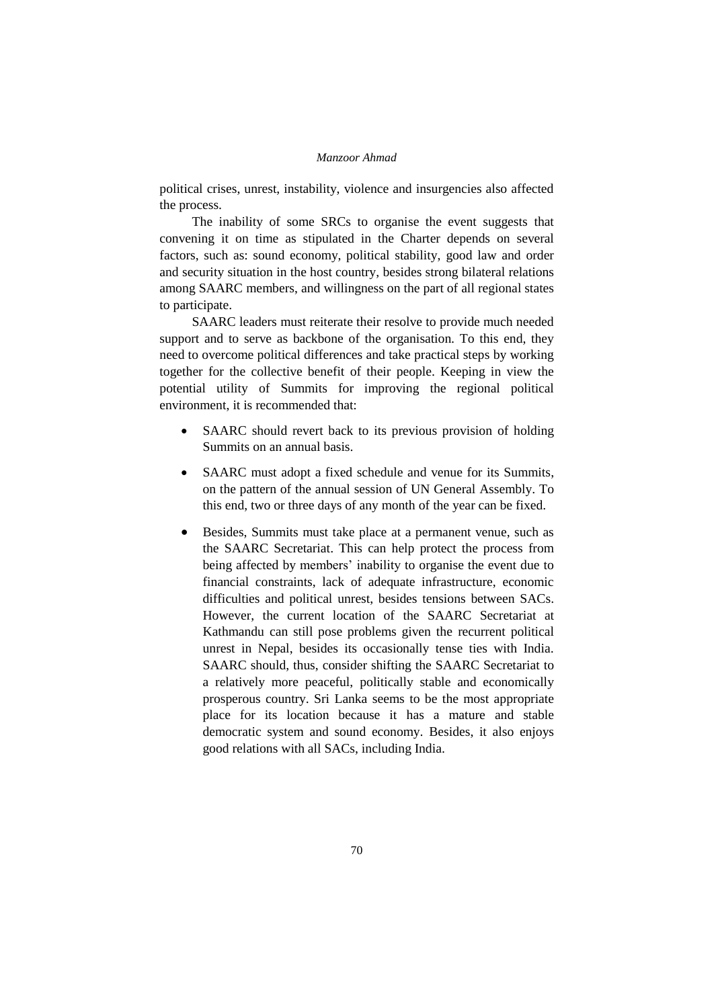political crises, unrest, instability, violence and insurgencies also affected the process.

The inability of some SRCs to organise the event suggests that convening it on time as stipulated in the Charter depends on several factors, such as: sound economy, political stability, good law and order and security situation in the host country, besides strong bilateral relations among SAARC members, and willingness on the part of all regional states to participate.

SAARC leaders must reiterate their resolve to provide much needed support and to serve as backbone of the organisation. To this end, they need to overcome political differences and take practical steps by working together for the collective benefit of their people. Keeping in view the potential utility of Summits for improving the regional political environment, it is recommended that:

- SAARC should revert back to its previous provision of holding Summits on an annual basis.
- SAARC must adopt a fixed schedule and venue for its Summits, on the pattern of the annual session of UN General Assembly. To this end, two or three days of any month of the year can be fixed.
- Besides, Summits must take place at a permanent venue, such as the SAARC Secretariat. This can help protect the process from being affected by members' inability to organise the event due to financial constraints, lack of adequate infrastructure, economic difficulties and political unrest, besides tensions between SACs. However, the current location of the SAARC Secretariat at Kathmandu can still pose problems given the recurrent political unrest in Nepal, besides its occasionally tense ties with India. SAARC should, thus, consider shifting the SAARC Secretariat to a relatively more peaceful, politically stable and economically prosperous country. Sri Lanka seems to be the most appropriate place for its location because it has a mature and stable democratic system and sound economy. Besides, it also enjoys good relations with all SACs, including India.